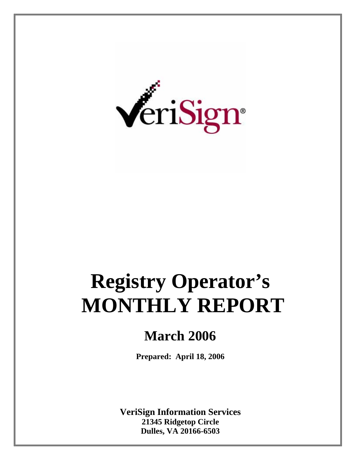

# **Registry Operator's MONTHLY REPORT**

# **March 2006**

**Prepared: April 18, 2006** 

**VeriSign Information Services 21345 Ridgetop Circle Dulles, VA 20166-6503**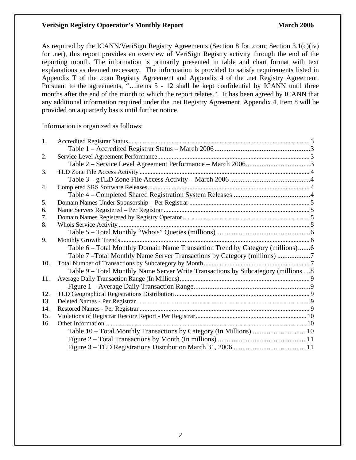#### **VeriSign Registry Opoerator's Monthly Report March 2006** March 2006

As required by the ICANN/VeriSign Registry Agreements (Section 8 for .com; Section 3.1(c)(iv) for .net), this report provides an overview of VeriSign Registry activity through the end of the reporting month. The information is primarily presented in table and chart format with text explanations as deemed necessary. The information is provided to satisfy requirements listed in Appendix T of the .com Registry Agreement and Appendix 4 of the .net Registry Agreement. Pursuant to the agreements, "…items 5 - 12 shall be kept confidential by ICANN until three months after the end of the month to which the report relates.". It has been agreed by ICANN that any additional information required under the .net Registry Agreement, Appendix 4, Item 8 will be provided on a quarterly basis until further notice.

Information is organized as follows:

| 1.  |                                                                                    |  |
|-----|------------------------------------------------------------------------------------|--|
|     |                                                                                    |  |
| 2.  |                                                                                    |  |
|     |                                                                                    |  |
| 3.  |                                                                                    |  |
|     |                                                                                    |  |
| 4.  |                                                                                    |  |
|     |                                                                                    |  |
| 5.  |                                                                                    |  |
| 6.  |                                                                                    |  |
| 7.  |                                                                                    |  |
| 8.  |                                                                                    |  |
|     |                                                                                    |  |
| 9.  |                                                                                    |  |
|     | Table 6 – Total Monthly Domain Name Transaction Trend by Category (millions)6      |  |
|     | Table 7-Total Monthly Name Server Transactions by Category (millions)              |  |
| 10. |                                                                                    |  |
|     | Table 9 – Total Monthly Name Server Write Transactions by Subcategory (millions  8 |  |
| 11. |                                                                                    |  |
|     |                                                                                    |  |
| 12. |                                                                                    |  |
| 13. |                                                                                    |  |
| 14. |                                                                                    |  |
| 15. |                                                                                    |  |
| 16. |                                                                                    |  |
|     | Table 10 - Total Monthly Transactions by Category (In Millions)10                  |  |
|     |                                                                                    |  |
|     |                                                                                    |  |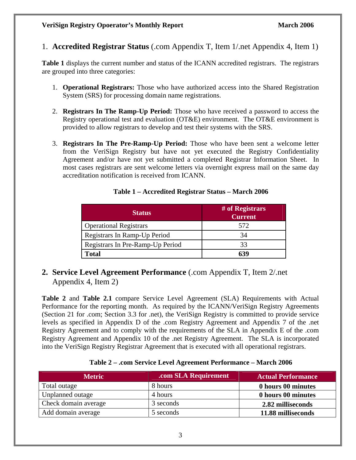1. **Accredited Registrar Status** (.com Appendix T, Item 1/.net Appendix 4, Item 1)

**Table 1** displays the current number and status of the ICANN accredited registrars. The registrars are grouped into three categories:

- 1. **Operational Registrars:** Those who have authorized access into the Shared Registration System (SRS) for processing domain name registrations.
- 2. **Registrars In The Ramp-Up Period:** Those who have received a password to access the Registry operational test and evaluation (OT&E) environment. The OT&E environment is provided to allow registrars to develop and test their systems with the SRS.
- 3. **Registrars In The Pre-Ramp-Up Period:** Those who have been sent a welcome letter from the VeriSign Registry but have not yet executed the Registry Confidentiality Agreement and/or have not yet submitted a completed Registrar Information Sheet. In most cases registrars are sent welcome letters via overnight express mail on the same day accreditation notification is received from ICANN.

| <b>Status</b>                    | # of Registrars<br><b>Current</b> |
|----------------------------------|-----------------------------------|
| <b>Operational Registrars</b>    | 572                               |
| Registrars In Ramp-Up Period     | 34                                |
| Registrars In Pre-Ramp-Up Period | 33                                |
| Fotal                            | 634                               |

#### **Table 1 – Accredited Registrar Status – March 2006**

**2. Service Level Agreement Performance** (.com Appendix T, Item 2/.net Appendix 4, Item 2)

**Table 2** and **Table 2.1** compare Service Level Agreement (SLA) Requirements with Actual Performance for the reporting month. As required by the ICANN/VeriSign Registry Agreements (Section 21 for .com; Section 3.3 for .net), the VeriSign Registry is committed to provide service levels as specified in Appendix D of the .com Registry Agreement and Appendix 7 of the .net Registry Agreement and to comply with the requirements of the SLA in Appendix E of the .com Registry Agreement and Appendix 10 of the .net Registry Agreement. The SLA is incorporated into the VeriSign Registry Registrar Agreement that is executed with all operational registrars.

|  | Table 2 - .com Service Level Agreement Performance - March 2006 |  |
|--|-----------------------------------------------------------------|--|
|  |                                                                 |  |

| <b>Metric</b>        | .com SLA Requirement | <b>Actual Performance</b> |
|----------------------|----------------------|---------------------------|
| Total outage         | 8 hours              | 0 hours 00 minutes        |
| Unplanned outage     | 4 hours              | 0 hours 00 minutes        |
| Check domain average | 3 seconds            | 2.82 milliseconds         |
| Add domain average   | 5 seconds            | 11.88 milliseconds        |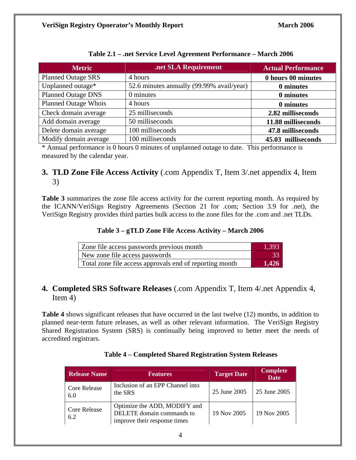| <b>Metric</b>               | .net SLA Requirement                      | <b>Actual Performance</b> |
|-----------------------------|-------------------------------------------|---------------------------|
| <b>Planned Outage SRS</b>   | 4 hours                                   | 0 hours 00 minutes        |
| Unplanned outage*           | 52.6 minutes annually (99.99% avail/year) | 0 minutes                 |
| <b>Planned Outage DNS</b>   | 0 minutes                                 | 0 minutes                 |
| <b>Planned Outage Whois</b> | 4 hours                                   | 0 minutes                 |
| Check domain average        | 25 milliseconds                           | 2.82 milliseconds         |
| Add domain average          | 50 milliseconds                           | 11.88 milliseconds        |
| Delete domain average       | 100 milliseconds                          | 47.8 milliseconds         |
| Modify domain average       | 100 milliseconds                          | 45.03 milliseconds        |

**Table 2.1 – .net Service Level Agreement Performance – March 2006** 

\* Annual performance is 0 hours 0 minutes of unplanned outage to date. This performance is measured by the calendar year.

## **3. TLD Zone File Access Activity** (.com Appendix T, Item 3/.net appendix 4, Item 3)

**Table 3** summarizes the zone file access activity for the current reporting month. As required by the ICANN/VeriSign Registry Agreements (Section 21 for .com; Section 3.9 for .net), the VeriSign Registry provides third parties bulk access to the zone files for the .com and .net TLDs.

**Table 3 – gTLD Zone File Access Activity – March 2006** 

| Zone file access passwords previous month               | 1.393 |
|---------------------------------------------------------|-------|
| New zone file access passwords                          |       |
| Total zone file access approvals end of reporting month | 1,426 |

# **4. Completed SRS Software Releases** (.com Appendix T, Item 4/.net Appendix 4, Item 4)

**Table 4** shows significant releases that have occurred in the last twelve (12) months, in addition to planned near-term future releases, as well as other relevant information. The VeriSign Registry Shared Registration System (SRS) is continually being improved to better meet the needs of accredited registrars.

| <b>Release Name</b>        | <b>Features</b>                                                                           | <b>Target Date</b> | <b>Complete</b><br><b>Date</b> |
|----------------------------|-------------------------------------------------------------------------------------------|--------------------|--------------------------------|
| <b>Core Release</b><br>6.0 | Inclusion of an EPP Channel into<br>the SRS                                               | 25 June 2005       | 25 June 2005                   |
| <b>Core Release</b><br>6.2 | Optimize the ADD, MODIFY and<br>DELETE domain commands to<br>improve their response times | 19 Nov 2005        | 19 Nov 2005                    |

#### **Table 4 – Completed Shared Registration System Releases**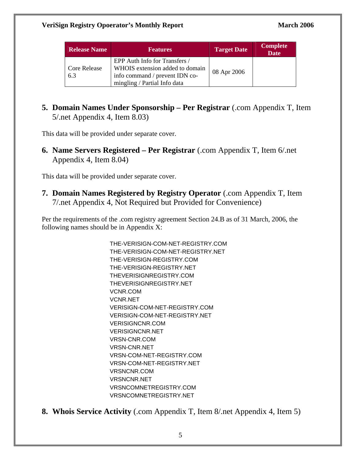| <b>Release Name</b> | <b>Features</b>                                                                                                                    | <b>Target Date</b> | <b>Complete</b><br><b>Date</b> |
|---------------------|------------------------------------------------------------------------------------------------------------------------------------|--------------------|--------------------------------|
| Core Release<br>6.3 | EPP Auth Info for Transfers /<br>WHOIS extension added to domain<br>info command / prevent IDN co-<br>mingling / Partial Info data | 08 Apr 2006        |                                |

**5. Domain Names Under Sponsorship – Per Registrar** (.com Appendix T, Item 5/.net Appendix 4, Item 8.03)

This data will be provided under separate cover.

**6. Name Servers Registered – Per Registrar** (.com Appendix T, Item 6/.net Appendix 4, Item 8.04)

This data will be provided under separate cover.

**7. Domain Names Registered by Registry Operator** (.com Appendix T, Item 7/.net Appendix 4, Not Required but Provided for Convenience)

Per the requirements of the .com registry agreement Section 24.B as of 31 March, 2006, the following names should be in Appendix X:

> THE-VERISIGN-COM-NET-REGISTRY.COM THE-VERISIGN-COM-NET-REGISTRY.NET THE-VERISIGN-REGISTRY.COM THE-VERISIGN-REGISTRY.NET THEVERISIGNREGISTRY.COM THEVERISIGNREGISTRY.NET VCNR.COM VCNR.NET VERISIGN-COM-NET-REGISTRY.COM VERISIGN-COM-NET-REGISTRY.NET VERISIGNCNR.COM VERISIGNCNR.NET VRSN-CNR.COM VRSN-CNR.NET VRSN-COM-NET-REGISTRY.COM VRSN-COM-NET-REGISTRY.NET VRSNCNR.COM VRSNCNR.NET VRSNCOMNETREGISTRY.COM VRSNCOMNETREGISTRY.NET

**8. Whois Service Activity** (.com Appendix T, Item 8/.net Appendix 4, Item 5)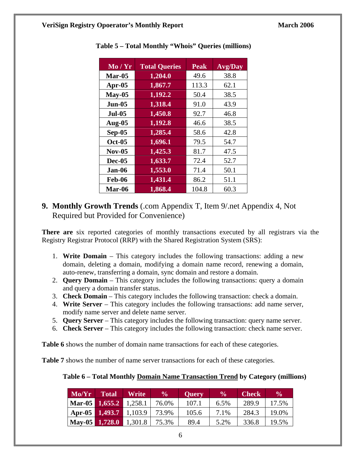| Mo / Yr       | <b>Total Queries</b> | <b>Peak</b> | <b>Avg/Day</b> |
|---------------|----------------------|-------------|----------------|
| $Mar-05$      | 1,204.0              | 49.6        | 38.8           |
| Apr- $05$     | 1,867.7              | 113.3       | 62.1           |
| $May-05$      | 1,192.2              | 50.4        | 38.5           |
| $Jun-05$      | 1,318.4              | 91.0        | 43.9           |
| <b>Jul-05</b> | 1,450.8              | 92.7        | 46.8           |
| Aug- $05$     | 1,192.8              | 46.6        | 38.5           |
| Sep-05        | 1,285.4              | 58.6        | 42.8           |
| <b>Oct-05</b> | 1,696.1              | 79.5        | 54.7           |
| $Nov-05$      | 1,425.3              | 81.7        | 47.5           |
| <b>Dec-05</b> | 1,633.7              | 72.4        | 52.7           |
| Jan-06        | 1,553.0              | 71.4        | 50.1           |
| <b>Feb-06</b> | 1,431.4              | 86.2        | 51.1           |
| Mar-06        | 1,868.4              | 104.8       | 60.3           |

 **Table 5 – Total Monthly "Whois" Queries (millions)** 

**9. Monthly Growth Trends** (.com Appendix T, Item 9/.net Appendix 4, Not Required but Provided for Convenience)

**There are** six reported categories of monthly transactions executed by all registrars via the Registry Registrar Protocol (RRP) with the Shared Registration System (SRS):

- 1. **Write Domain**  This category includes the following transactions: adding a new domain, deleting a domain, modifying a domain name record, renewing a domain, auto-renew, transferring a domain, sync domain and restore a domain.
- 2. **Query Domain** This category includes the following transactions: query a domain and query a domain transfer status.
- 3. **Check Domain** This category includes the following transaction: check a domain.
- 4. **Write Server** This category includes the following transactions: add name server, modify name server and delete name server.
- 5. **Query Server** This category includes the following transaction: query name server.
- 6. **Check Server**  This category includes the following transaction: check name server.

**Table 6** shows the number of domain name transactions for each of these categories.

**Table 7** shows the number of name server transactions for each of these categories.

#### **Table 6 – Total Monthly Domain Name Transaction Trend by Category (millions)**

| Mo/Yr                           | <b>Total</b>           | Write                      | $\frac{6}{10}$ | <b>Query</b> | $\frac{6}{10}$ | <b>Check</b> | $\frac{0}{0}$ |
|---------------------------------|------------------------|----------------------------|----------------|--------------|----------------|--------------|---------------|
| $\text{Mar-05}$ 1,655.2 1,258.1 |                        |                            | 76.0%          | 107.1        | 6.5%           | 289.9        | 17.5%         |
|                                 | Apr-05 1,493.7 1,103.9 |                            | 73.9%          | 105.6        | 7.1%           | 284.3        | 19.0%         |
|                                 |                        | May-05   1,728.0   1,301.8 | 75.3%          | 89.4         | 5.2%           | 336.8        | 19.5%         |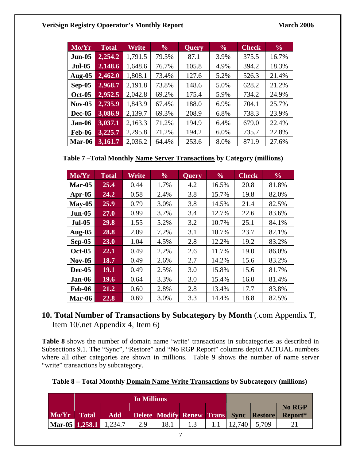#### **VeriSign Registry Opoerator's Monthly Report March 2006 March 2006**

| Mo/Yr         | <b>Total</b> | Write   | $\frac{6}{9}$ | Query | $\frac{6}{9}$ | <b>Check</b> | $\frac{6}{6}$ |
|---------------|--------------|---------|---------------|-------|---------------|--------------|---------------|
| $Jun-05$      | 2,254.2      | 1,791.5 | 79.5%         | 87.1  | 3.9%          | 375.5        | 16.7%         |
| <b>Jul-05</b> | 2,148.6      | 1,648.6 | 76.7%         | 105.8 | 4.9%          | 394.2        | 18.3%         |
| Aug- $05$     | 2,462.0      | 1,808.1 | 73.4%         | 127.6 | 5.2%          | 526.3        | 21.4%         |
| $Sep-05$      | 2,968.7      | 2,191.8 | 73.8%         | 148.6 | 5.0%          | 628.2        | 21.2%         |
| <b>Oct-05</b> | 2,952.5      | 2,042.8 | 69.2%         | 175.4 | 5.9%          | 734.2        | 24.9%         |
| <b>Nov-05</b> | 2,735.9      | 1,843.9 | 67.4%         | 188.0 | 6.9%          | 704.1        | 25.7%         |
| <b>Dec-05</b> | 3,086.9      | 2,139.7 | 69.3%         | 208.9 | 6.8%          | 738.3        | 23.9%         |
| Jan-06        | 3,037.1      | 2,163.3 | 71.2%         | 194.9 | 6.4%          | 679.0        | 22.4%         |
| <b>Feb-06</b> | 3,225.7      | 2,295.8 | 71.2%         | 194.2 | 6.0%          | 735.7        | 22.8%         |
| Mar-06        | 3,161.7      | 2,036.2 | 64.4%         | 253.6 | 8.0%          | 871.9        | 27.6%         |

**Table 7 –Total Monthly Name Server Transactions by Category (millions)** 

| Mo/Yr         | <b>Total</b> | Write | $\frac{6}{10}$ | <b>Query</b> | $\frac{0}{0}$ | <b>Check</b> | $\frac{6}{9}$ |
|---------------|--------------|-------|----------------|--------------|---------------|--------------|---------------|
| Mar-05        | 25.4         | 0.44  | 1.7%           | 4.2          | 16.5%         | 20.8         | 81.8%         |
| Apr- $05$     | 24.2         | 0.58  | 2.4%           | 3.8          | 15.7%         | 19.8         | 82.0%         |
| $May-05$      | 25.9         | 0.79  | 3.0%           | 3.8          | 14.5%         | 21.4         | 82.5%         |
| $Jun-05$      | 27.0         | 0.99  | 3.7%           | 3.4          | 12.7%         | 22.6         | 83.6%         |
| <b>Jul-05</b> | 29.8         | 1.55  | 5.2%           | 3.2          | 10.7%         | 25.1         | 84.1%         |
| <b>Aug-05</b> | 28.8         | 2.09  | 7.2%           | 3.1          | 10.7%         | 23.7         | 82.1%         |
| $Sep-05$      | 23.0         | 1.04  | 4.5%           | 2.8          | 12.2%         | 19.2         | 83.2%         |
| <b>Oct-05</b> | 22.1         | 0.49  | 2.2%           | 2.6          | 11.7%         | 19.0         | 86.0%         |
| $Nov-05$      | 18.7         | 0.49  | 2.6%           | 2.7          | 14.2%         | 15.6         | 83.2%         |
| <b>Dec-05</b> | 19.1         | 0.49  | 2.5%           | 3.0          | 15.8%         | 15.6         | 81.7%         |
| Jan-06        | 19.6         | 0.64  | 3.3%           | 3.0          | 15.4%         | 16.0         | 81.4%         |
| <b>Feb-06</b> | 21.2         | 0.60  | 2.8%           | 2.8          | 13.4%         | 17.7         | 83.8%         |
| Mar-06        | 22.8         | 0.69  | 3.0%           | 3.3          | 14.4%         | 18.8         | 82.5%         |

# **10. Total Number of Transactions by Subcategory by Month** (.com Appendix T, Item 10/.net Appendix 4, Item 6)

**Table 8** shows the number of domain name 'write' transactions in subcategories as described in Subsections 9.1. The "Sync", "Restore" and "No RGP Report" columns depict ACTUAL numbers where all other categories are shown in millions. Table 9 shows the number of name server "write" transactions by subcategory.

**Table 8 – Total Monthly Domain Name Write Transactions by Subcategory (millions)** 

|                                 |            | In Millions |      |  |        |                                        |               |
|---------------------------------|------------|-------------|------|--|--------|----------------------------------------|---------------|
|                                 |            |             |      |  |        |                                        | <b>No RGP</b> |
| Mo/Yr Total                     | <b>Add</b> |             |      |  |        | Delete Modify Renew Trans Sync Restore | Report*       |
| $\text{Mar-05}$ 1,258.1 1,234.7 |            | 2.9         | 18.1 |  | 12.740 | 5,709                                  |               |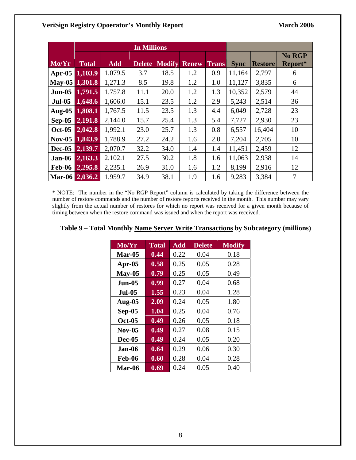#### **VeriSign Registry Opoerator's Monthly Report March 2006 March 2006**

|                |              |            | <b>In Millions</b> |               |              |       |             |                |               |
|----------------|--------------|------------|--------------------|---------------|--------------|-------|-------------|----------------|---------------|
| Mo/Yr          | <b>Total</b> | <b>Add</b> | <b>Delete</b>      | <b>Modify</b> | <b>Renew</b> | Trans |             | <b>Restore</b> | <b>No RGP</b> |
|                |              |            |                    |               |              |       | <b>Sync</b> |                | Report*       |
| Apr-05         | 1,103.9      | 1,079.5    | 3.7                | 18.5          | 1.2          | 0.9   | 11,164      | 2,797          | 6             |
| May-05         | 1,301.8      | 1,271.3    | 8.5                | 19.8          | 1.2          | 1.0   | 11,127      | 3,835          | 6             |
| $Jun-05$       | 1,791.5      | 1,757.8    | 11.1               | 20.0          | 1.2          | 1.3   | 10,352      | 2,579          | 44            |
| <b>Jul-05</b>  | 1,648.6      | 1,606.0    | 15.1               | 23.5          | 1.2          | 2.9   | 5,243       | 2,514          | 36            |
| Aug-05         | 1,808.1      | 1,767.5    | 11.5               | 23.5          | 1.3          | 4.4   | 6,049       | 2,728          | 23            |
| $Sep-05$       | 2,191.8      | 2,144.0    | 15.7               | 25.4          | 1.3          | 5.4   | 7,727       | 2,930          | 23            |
| <b>Oct-05</b>  | 2,042.8      | 1,992.1    | 23.0               | 25.7          | 1.3          | 0.8   | 6,557       | 16,404         | 10            |
| $Nov-05$       | 1,843.9      | 1,788.9    | 27.2               | 24.2          | 1.6          | 2.0   | 7,204       | 2,705          | 10            |
| <b>Dec-05</b>  | 2,139.7      | 2,070.7    | 32.2               | 34.0          | 1.4          | 1.4   | 11,451      | 2,459          | 12            |
| Jan-06         | 2,163.3      | 2,102.1    | 27.5               | 30.2          | 1.8          | 1.6   | 11,063      | 2,938          | 14            |
| <b>Feb-06</b>  | 2,295.8      | 2,235.1    | 26.9               | 31.0          | 1.6          | 1.2   | 8,199       | 2,916          | 12            |
| Mar-06 2,036.2 |              | 1,959.7    | 34.9               | 38.1          | 1.9          | 1.6   | 9,283       | 3,384          | 7             |

\* NOTE: The number in the "No RGP Report" column is calculated by taking the difference between the number of restore commands and the number of restore reports received in the month. This number may vary slightly from the actual number of restores for which no report was received for a given month because of timing between when the restore command was issued and when the report was received.

| Mo/Yr         | <b>Total</b> | <b>Add</b> | <b>Delete</b> | <b>Modify</b> |
|---------------|--------------|------------|---------------|---------------|
| Mar-05        | 0.44         | 0.22       | 0.04          | 0.18          |
| Apr- $05$     | 0.58         | 0.25       | 0.05          | 0.28          |
| $May-05$      | 0.79         | 0.25       | 0.05          | 0.49          |
| <b>Jun-05</b> | 0.99         | 0.27       | 0.04          | 0.68          |
| <b>Jul-05</b> | 1.55         | 0.23       | 0.04          | 1.28          |
| Aug-05        | 2.09         | 0.24       | 0.05          | 1.80          |
| $Sep-05$      | 1.04         | 0.25       | 0.04          | 0.76          |
| <b>Oct-05</b> | 0.49         | 0.26       | 0.05          | 0.18          |
| $Nov-05$      | 0.49         | 0.27       | 0.08          | 0.15          |
| $Dec-05$      | 0.49         | 0.24       | 0.05          | 0.20          |
| Jan-06        | 0.64         | 0.29       | 0.06          | 0.30          |
| <b>Feb-06</b> | 0.60         | 0.28       | 0.04          | 0.28          |
| Mar-06        | 0.69         | 0.24       | 0.05          | 0.40          |

## **Table 9 – Total Monthly Name Server Write Transactions by Subcategory (millions)**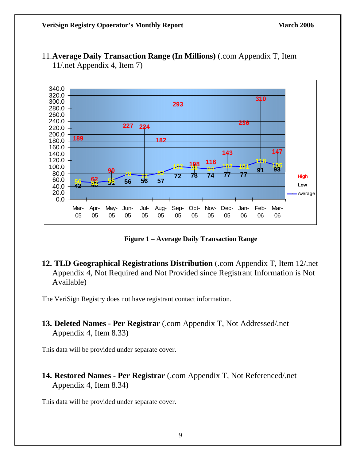

11.**Average Daily Transaction Range (In Millions)** (.com Appendix T, Item 11/.net Appendix 4, Item 7)

**Figure 1 – Average Daily Transaction Range** 

**12. TLD Geographical Registrations Distribution** (.com Appendix T, Item 12/.net Appendix 4, Not Required and Not Provided since Registrant Information is Not Available)

The VeriSign Registry does not have registrant contact information.

**13. Deleted Names - Per Registrar** (.com Appendix T, Not Addressed/.net Appendix 4, Item 8.33)

This data will be provided under separate cover.

**14. Restored Names - Per Registrar** (.com Appendix T, Not Referenced/.net Appendix 4, Item 8.34)

This data will be provided under separate cover.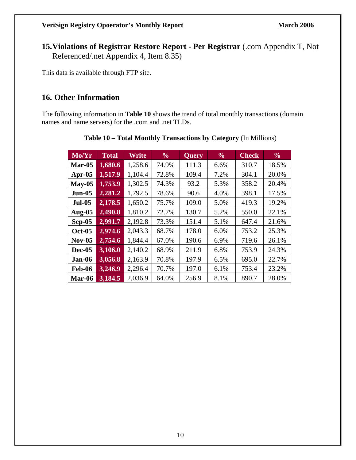**15.Violations of Registrar Restore Report - Per Registrar** (.com Appendix T, Not Referenced/.net Appendix 4, Item 8.35)

This data is available through FTP site.

# **16. Other Information**

The following information in **Table 10** shows the trend of total monthly transactions (domain names and name servers) for the .com and .net TLDs.

| Mo/Yr         | <b>Total</b> | Write   | $\frac{6}{6}$ | <b>Query</b> | $\frac{6}{6}$ | <b>Check</b> | $\frac{0}{0}$ |
|---------------|--------------|---------|---------------|--------------|---------------|--------------|---------------|
| <b>Mar-05</b> | 1,680.6      | 1,258.6 | 74.9%         | 111.3        | 6.6%          | 310.7        | 18.5%         |
| Apr- $05$     | 1,517.9      | 1,104.4 | 72.8%         | 109.4        | 7.2%          | 304.1        | 20.0%         |
| $May-05$      | 1,753.9      | 1,302.5 | 74.3%         | 93.2         | 5.3%          | 358.2        | 20.4%         |
| <b>Jun-05</b> | 2,281.2      | 1,792.5 | 78.6%         | 90.6         | 4.0%          | 398.1        | 17.5%         |
| <b>Jul-05</b> | 2,178.5      | 1,650.2 | 75.7%         | 109.0        | 5.0%          | 419.3        | 19.2%         |
| <b>Aug-05</b> | 2,490.8      | 1,810.2 | 72.7%         | 130.7        | 5.2%          | 550.0        | 22.1%         |
| $Sep-05$      | 2,991.7      | 2,192.8 | 73.3%         | 151.4        | 5.1%          | 647.4        | 21.6%         |
| <b>Oct-05</b> | 2,974.6      | 2,043.3 | 68.7%         | 178.0        | 6.0%          | 753.2        | 25.3%         |
| $Nov-05$      | 2,754.6      | 1,844.4 | 67.0%         | 190.6        | 6.9%          | 719.6        | 26.1%         |
| <b>Dec-05</b> | 3,106.0      | 2,140.2 | 68.9%         | 211.9        | 6.8%          | 753.9        | 24.3%         |
| Jan-06        | 3,056.8      | 2,163.9 | 70.8%         | 197.9        | 6.5%          | 695.0        | 22.7%         |
| <b>Feb-06</b> | 3,246.9      | 2,296.4 | 70.7%         | 197.0        | 6.1%          | 753.4        | 23.2%         |
| Mar-06        | 3,184.5      | 2,036.9 | 64.0%         | 256.9        | 8.1%          | 890.7        | 28.0%         |

**Table 10 – Total Monthly Transactions by Category** (In Millions)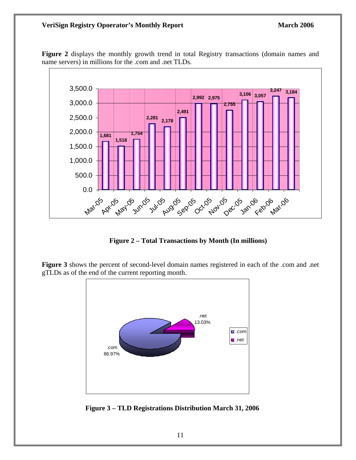#### **VeriSign Registry Opoerator's Monthly Report March 2006** March 2006



Figure 2 displays the monthly growth trend in total Registry transactions (domain names and name servers) in millions for the .com and .net TLDs.

**Figure 2 – Total Transactions by Month (In millions)** 

**Figure 3** shows the percent of second-level domain names registered in each of the .com and .net gTLDs as of the end of the current reporting month.



 **Figure 3 – TLD Registrations Distribution March 31, 2006**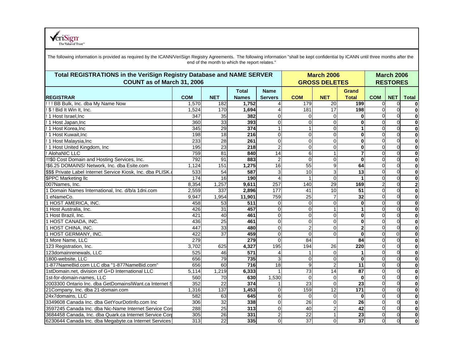**REGISTRAR COM NET Total Names Name Servers** $COM$ **NET Grand Total** $COM$ **NET** Total ! ! ! BB Bulk, Inc. dba My Name Now 1,570 182 **1,752** 4 179 20 **199** 0 0 **0 March 2006 GROSS DELETES Total REGISTRATIONS in the VeriSign Registry Database and NAME SERVER COUNT as of March 31, 2006 March 2006 RESTORES** The following information is provided as required by the ICANN/VeriSign Registry Agreements. The following information "shall be kept confidential by ICANN until three months after the end of the month to which the report relates."

VeriSign<sup>\*</sup>

| ! \$ ! Bid It Win It, Inc.                                | 1,524 | 170             | 1,694  | 41             | 181             | 17              | <b>198</b>      | ΩL       | ΩI       | $\bf{0}$    |
|-----------------------------------------------------------|-------|-----------------|--------|----------------|-----------------|-----------------|-----------------|----------|----------|-------------|
| !! 1 Host Israel.inc                                      | 347   | 35              | 382    | 0              | $\Omega$        | $\Omega$        | U               |          |          | $\bf{0}$    |
| ! 1 Host Japan, Inc.                                      | 360   | 33              | 393    | 0              | $\Omega$        | $\overline{0}$  | $\bf{0}$        |          |          | $\bf{0}$    |
| !! 1 Host Korea.Inc                                       | 345   | 29              | 374    |                |                 | $\overline{0}$  |                 |          |          | $\bf{0}$    |
| !! 1 Host Kuwait.Inc                                      | 198   | 18              | 216    | 0              | $\Omega$        | $\Omega$        | $\bf{0}$        |          |          | $\bf{0}$    |
| ! 1 Host Malaysia, Inc                                    | 233   | $\overline{28}$ | 261    | 0              | $\Omega$        | $\Omega$        | $\bf{0}$        |          |          | $\bf{0}$    |
| ! 1 Host United Kingdom, Inc                              | 195   | 23              | 218    | 2              | $\Omega$        | $\Omega$        | $\bf{0}$        |          |          | $\bf{0}$    |
| ! AlohaNIC LLC                                            | 759   | 81              | 840    | 14             | 6               | $\mathbf{1}$    | $\overline{7}$  |          |          | $\bf{0}$    |
| !!!\$0 Cost Domain and Hosting Services, Inc.             | 792   | $\overline{91}$ | 883    | $\overline{2}$ | $\Omega$        | $\Omega$        | $\bf{0}$        |          |          | $\bf{0}$    |
| I\$6.25 DOMAINS! Network, Inc. dba Esite.com              | 1,124 | 151             | 1,275  | 16             | 55              | 9               | 64              |          |          | $\bf{0}$    |
| SSS Private Label Internet Service Kiosk, Inc. dba PLISK. | 533   | 54              | 587    | 3              | 10              | 3               | 13              |          |          | $\bf{0}$    |
| <b>\$PPC Marketing Ilc</b>                                | 174   | 16              | 190    |                |                 | $\mathbf 0$     |                 |          |          | $\bf{0}$    |
| 007Names, Inc.                                            | 8,354 | 1,257           | 9,611  | 257            | 140             | 29              | 169             |          |          | $\mathbf 2$ |
| 1 Domain Names International, Inc. d/b/a 1dni.com         | 2,559 | 337             | 2,896  | 177            | 41              | 10              | $\overline{51}$ | $\Omega$ |          | $\bf{0}$    |
| 1 eNameCo.                                                | 9,947 | 1,954           | 11,901 | 759            | 25              | $\overline{7}$  | 32              |          |          | $\bf{0}$    |
| 1 HOST AMERICA, INC.                                      | 458   | 53              | 511    | 0              | $\Omega$        | $\mathbf 0$     | $\bf{0}$        |          |          | $\bf{0}$    |
| 1 Host Australia, Inc.                                    | 426   | 31              | 457    | 0              | $\Omega$        | 1               |                 |          |          | $\mathbf 0$ |
| 1 Host Brazil, Inc.                                       | 421   | 40              | 461    | 0              | $\Omega$        | $\overline{0}$  | $\bf{0}$        |          |          | $\bf{0}$    |
| 1 HOST CANADA, INC.                                       | 436   | 25              | 461    | 0              | $\Omega$        | $\Omega$        | $\bf{0}$        |          |          | $\bf{0}$    |
| 1 HOST CHINA, INC.                                        | 447   | 33              | 480    | 0              | 2               | $\Omega$        | $\mathbf{2}$    |          |          | $\bf{0}$    |
| 1 HOST GERMANY, INC.                                      | 422   | $\overline{37}$ | 459    | $\Omega$       | $\Omega$        | $\Omega$        | $\bf{0}$        |          | $\Omega$ | $\bf{0}$    |
| 1 More Name, LLC                                          | 279   |                 | 279    | 0              | 84              |                 | $\overline{84}$ |          |          | $\bf{0}$    |
| 123 Registration, Inc.                                    | 3.702 | 625             | 4,327  | 195            | 194             | 26              | 220             |          |          | $\bf{0}$    |
| 123domainrenewals, LLC                                    | 525   | 46              | 571    |                |                 | $\Omega$        |                 |          |          | $\bf{0}$    |
| 1800-website, LLC                                         | 656   | 79              | 735    | 3              | $\Omega$        | $\Omega$        | $\bf{0}$        |          |          | $\mathbf 0$ |
| 1-877NameBid.com LLC dba "1-877NameBid.com"               | 656   | 60              | 716    | 18             | 9               | $\overline{c}$  | 11              |          |          | $\bf{0}$    |
| 1stDomain.net, division of G+D International LLC          | 5.114 | 1,219           | 6,333  |                | 73              | 14              | 87              |          |          | $\bf{0}$    |
| 1st-for-domain-names. LLC                                 | 560   | 70              | 630    | 1,530          | $\Omega$        | $\overline{O}$  | $\bf{0}$        |          |          | $\bf{0}$    |
| 2003300 Ontario Inc. dba GetDomainsIWant.ca Internet S    | 352   | 22              | 374    |                | 23              | $\Omega$        | 23              |          |          | $\bf{0}$    |
| 21 Company, Inc. dba 21-domain.com                        | 1,316 | 137             | 1,453  |                | 159             | $\overline{12}$ | $\frac{1}{171}$ |          |          | $\bf{0}$    |
| 24x7domains, LLC                                          | 582   | 63              | 645    | 6              | $\Omega$        | $\mathbf 0$     | $\bf{0}$        |          |          | $\bf{0}$    |
| 3349608 Canada Inc. dba GetYourDotInfo.com Inc            | 306   | 32              | 338    | 0              | 26              | $\overline{0}$  | 26              |          |          | $\bf{0}$    |
| 3597245 Canada Inc. dba Nic-Name Internet Service Corl    | 288   | 25              | 313    | 0              | 40              | $\overline{2}$  | 42              |          |          | $\mathbf 0$ |
| 3684458 Canada, Inc. dba Quark.ca Internet Service Corp   | 305   | 26              | 331    | 2              | 22              | $\mathbf{1}$    | 23              |          |          | $\bf{0}$    |
| 6230644 Canada Inc. dba Megabyte.ca Internet Services     | 313   | 22              | 335    | $\Omega$       | $\overline{37}$ | $\Omega$        | $\overline{37}$ |          |          | $\bf{0}$    |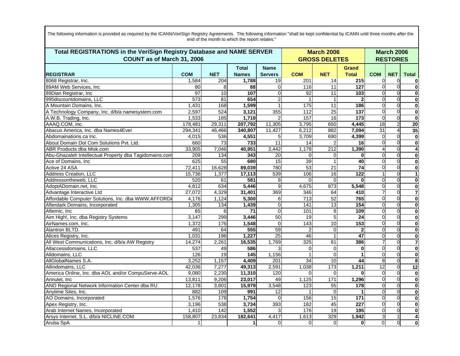| Total REGISTRATIONS in the VeriSign Registry Database and NAME SERVER<br>COUNT as of March 31, 2006 |              |                  |                              | <b>March 2006</b><br><b>GROSS DELETES</b> |                 |                  | <b>March 2006</b><br><b>RESTORES</b> |            |            |                         |
|-----------------------------------------------------------------------------------------------------|--------------|------------------|------------------------------|-------------------------------------------|-----------------|------------------|--------------------------------------|------------|------------|-------------------------|
| <b>REGISTRAR</b>                                                                                    | <b>COM</b>   | <b>NET</b>       | <b>Total</b><br><b>Names</b> | <b>Name</b><br><b>Servers</b>             | <b>COM</b>      | <b>NET</b>       | <b>Grand</b><br><b>Total</b>         | <b>COM</b> | <b>NET</b> | <b>Total</b>            |
| 8068 Registrar, Inc.                                                                                | 1,584        | 204              | 1,788                        | 19                                        | 201             | 14               | 215                                  | $\Omega$   | $\Omega$   | 0                       |
| 89AM Web Services, Inc.                                                                             | 80           | 8                | 88                           | 0                                         | 116             | 11               | 127                                  | $\Omega$   |            | $\bf{0}$                |
| 89Dian Registrar, Inc                                                                               | 97           | 10               | 107                          | $\Omega$                                  | 92              | 11               | 103                                  |            |            | $\bf{0}$                |
| 995discountdomains, LLC                                                                             | 573          | $\overline{81}$  | 654                          | $\overline{2}$                            |                 | $\mathbf{1}$     | $\mathbf{2}$                         | $\Omega$   | $\Omega$   | $\bf{0}$                |
| A Mountain Domains, Inc.                                                                            | 1,431        | 168              | 1,599                        |                                           | 175             | $\overline{11}$  | 186                                  | $\Omega$   |            | $\bf{0}$                |
| A Technology Company, Inc. d/b/a namesystem.com                                                     | 2,597        | 524              | 3,121                        | 355                                       | 112             | 25               | 137                                  | $\Omega$   | $\Omega$   | $\mathbf 0$             |
| A.W.B. Trading, Inc.                                                                                | 1,533        | 185              | 1,718                        | 2                                         | 157             | $\overline{16}$  | 173                                  | $\Omega$   | $\Omega$   | $\mathbf 0$             |
| AAAQ.COM, Inc.                                                                                      | 178,481      | 29,311           | 207,792                      | 11,305                                    | 3,795           | 650              | 4,445                                | 18         |            | 20                      |
| Abacus America, Inc. dba Names4Ever                                                                 | 294,341      | 46,466           | 340,807                      | 11,427                                    | 6,212           | 882              | 7,094                                | 31         |            | 35                      |
| Abdomainations.ca Inc.                                                                              | 4,015        | 536              | 4,551                        | 5                                         | 3,709           | 690              | 4,399                                | $\Omega$   | $\Omega$   | $\bf{0}$                |
| About Domain Dot Com Solutions Pvt. Ltd.                                                            | 660          | 73               | 733                          | $\overline{11}$                           | 14              | $\overline{2}$   | 16                                   | $\Omega$   | $\Omega$   | $\bf{0}$                |
| ABR Products dba Misk.com                                                                           | 33,905       | 7,046            | 40,951                       | 2,442                                     | 1,178           | $\overline{212}$ | 1,390                                |            | $\Omega$   | 4                       |
| Abu-Ghazaleh Intellectual Property dba Tagidomains.com                                              | 209          | 134              | 343                          | 20                                        | $\Omega$        | 0                | $\bf{0}$                             | $\Omega$   | $\Omega$   | $\bf{0}$                |
| Ace of Domains, Inc                                                                                 | 625          | 55               | 680                          | $\overline{15}$                           | 39              | 1                | 40                                   | $\Omega$   |            | $\bf{0}$                |
| Active 24 ASA                                                                                       | 72,411       | 16,628           | 89,039                       | 780                                       | $\overline{53}$ | 21               | $\overline{74}$                      | $\Omega$   | $\Omega$   | 0                       |
| Address Creation, LLC                                                                               | 15,736       | 1,377            | 17,113                       | 539                                       | 106             | 16               | 122                                  |            | $\Omega$   | $\mathbf{1}$            |
| Addressontheweb, LLC                                                                                | 520          | 61               | 581                          | 8                                         | $\Omega$        | $\Omega$         | $\bf{0}$                             | $\Omega$   | $\Omega$   | $\bf{0}$                |
| AdoptADomain.net, Inc.                                                                              | 4,812        | 634              | 5,446                        | 9                                         | 4,675           | 873              | 5,548                                | $\Omega$   | $\Omega$   | 0                       |
| Advantage Interactive Ltd                                                                           | 27,072       | 4,329            | 31,401                       | 369                                       | 346             | 64               | 410                                  |            | $\Omega$   | $\overline{\mathbf{7}}$ |
| Affordable Computer Solutions, Inc. dba WWW.AFFORDA                                                 | 4,176        | 1,124            | 5,300                        | 6                                         | 713             | 52               | 765                                  | $\Omega$   |            | $\mathbf 0$             |
| Afterdark Domains, Incorporated                                                                     | 1,305        | 134              | 1,439                        | 0                                         | 141             | 13               | 154                                  | $\Omega$   | $\Omega$   | 0                       |
| Afternic, Inc.                                                                                      | 65           | 6                | 71                           | 0                                         | 101             | 8 <sup>1</sup>   | 109                                  | $\Omega$   | $\Omega$   | $\bf{0}$                |
| Aim High!, Inc. dba Registry Systems                                                                | 3,147        | 299              | 3,446                        | 50                                        | $\overline{19}$ | 5                | $\overline{24}$                      | $\Omega$   | $\Omega$   | $\bf{0}$                |
| AirNames.com, Inc.                                                                                  | 1,372        | 176              | 1,548                        | $\mathbf{0}$                              | 143             | 10               | 153                                  | $\Omega$   | $\Omega$   | 0                       |
| Alantron BLTD.                                                                                      | 491          | 64               | 555                          | 59                                        | $\overline{2}$  | $\overline{0}$   | $\overline{2}$                       | $\Omega$   | $\Omega$   | $\bf{0}$                |
| Alices Registry, Inc.                                                                               | 1.031        | 196              | 1,227                        | $\overline{25}$                           | 46              | 1                | $\overline{47}$                      | $\Omega$   |            | $\mathbf 0$             |
| All West Communications, Inc. d/b/a AW Registry                                                     | 14,274       | 2,261            | 16,535                       | 1,769                                     | 325             | 61               | 386                                  |            | $\Omega$   | $\overline{7}$          |
| Allaccessdomains, LLC                                                                               | 537          | 49               | 586                          | 3                                         | $\mathbf{0}$    | $\overline{0}$   | $\bf{0}$                             | $\Omega$   | $\Omega$   | $\bf{0}$                |
| Alldomains, LLC                                                                                     | 126          | 19               | 145                          | 1,156                                     |                 | $\overline{0}$   | 1                                    | $\Omega$   | $\Omega$   | $\bf{0}$                |
| AllGlobalNames S.A.                                                                                 | 3,252        | 1,157            | 4,409                        | 201                                       | 34              | 10               | 44                                   | 8          | $\Omega$   | 8                       |
| Allindomains, LLC                                                                                   | 42,036       | 7,277            | 49,313                       | 2,591                                     | 1,038           | 173              | 1,211                                | 12         | $\Omega$   | $\overline{12}$         |
| America Online, Inc. dba AOL and/or CompuServe-AOL                                                  | 9,080        | 2,230            | 11,310                       | 120                                       |                 | $\Omega$         |                                      | $\Omega$   |            | $\bf{0}$                |
| Annulet. Inc.                                                                                       | 13,811       | 9,206            | 23,017                       | 49                                        | 1,125           | 171              | 1,296                                | $\Omega$   | $\Omega$   | $\mathbf 0$             |
| ANO Regional Network Information Center dba RU                                                      | 12,178       | 3,801            | 15,979                       | 3,548                                     | 123             | 55               | 178                                  | $\Omega$   | $\Omega$   | $\mathbf 0$             |
| Anytime Sites, Inc.                                                                                 | 882          | 109              | 991                          | 12                                        |                 | $\Omega$         | 1                                    | $\Omega$   | $\Omega$   | $\bf{0}$                |
| AO Domains, Incorporated                                                                            | 1,576        | 178              | 1,754                        | $\Omega$                                  | 156             | 15               | 171                                  | $\Omega$   | $\Omega$   | $\bf{0}$                |
| Apex Registry, Inc.                                                                                 | 3,196        | 538              | 3,734                        | 393                                       | 182             | 45               | 227                                  | $\Omega$   | $\Omega$   | $\bf{0}$                |
| Arab Internet Names, Incorporated                                                                   | 1,410        | $\overline{142}$ | 1,552                        |                                           | 176             | 19               | 195                                  | $\Omega$   |            | $\bf{0}$                |
| Arsys Internet, S.L. d/b/a NICLINE.COM                                                              | 158,807      | 23,834           | 182,641                      | 4,417                                     | 1,613           | 329              | 1,942                                | 3          |            | 4                       |
| Aruba SpA                                                                                           | $\mathbf{1}$ |                  | 1                            | $\Omega$                                  | $\Omega$        | $\Omega$         | $\mathbf{0}$                         | $\Omega$   | $\Omega$   | $\bf{0}$                |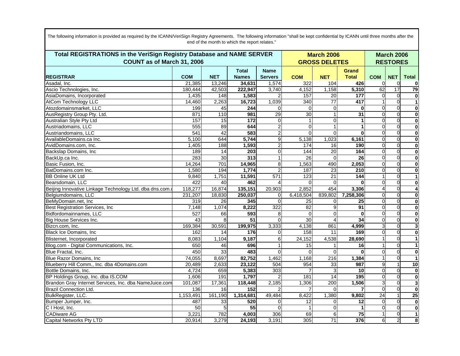| Total REGISTRATIONS in the VeriSign Registry Database and NAME SERVER |                 |                   |                 |                         |                 | <b>March 2006</b>    |                  |                 |                | <b>March 2006</b>        |
|-----------------------------------------------------------------------|-----------------|-------------------|-----------------|-------------------------|-----------------|----------------------|------------------|-----------------|----------------|--------------------------|
| COUNT as of March 31, 2006                                            |                 |                   |                 |                         |                 | <b>GROSS DELETES</b> |                  | <b>RESTORES</b> |                |                          |
|                                                                       |                 |                   | <b>Total</b>    | <b>Name</b>             |                 |                      | <b>Grand</b>     |                 |                |                          |
| <b>REGISTRAR</b>                                                      | <b>COM</b>      | <b>NET</b>        | <b>Names</b>    | <b>Servers</b>          | <b>COM</b>      | <b>NET</b>           | <b>Total</b>     | <b>COM</b>      | <b>NET</b>     | <b>Total</b>             |
| Asadal, Inc.                                                          | 21.385          | 13,246            | 34,631          | 1,574                   | 322             | 104                  | 426              | $\Omega$        | 0              | $\bf{0}$                 |
| Ascio Technologies, Inc.                                              | 180,444         | 42,503            | 222,947         | 3,740                   | 4,152           | 1,158                | 5,310            | 62              | 17             | 79                       |
| AsiaDomains, Incorporated                                             | 1,435           | 148               | 1,583           |                         | 157             | 20                   | 177              | $\Omega$        | $\mathbf 0$    | $\mathbf 0$              |
| <b>AtCom Technology LLC</b>                                           | 14,460          | 2,263             | 16,723          | 1,039                   | 340             | $\overline{77}$      | 417              |                 | $\mathbf 0$    | $\mathbf{1}$             |
| Atozdomainsmarket, LLC                                                | 199             | 45                | 244             | $\Omega$                | $\Omega$        | $\mathbf 0$          | $\mathbf 0$      | $\Omega$        | $\Omega$       | $\mathbf 0$              |
| AusRegistry Group Pty. Ltd.                                           | 871             | $\frac{110}{110}$ | 981             | $\overline{29}$         | 30              | 1                    | 31               | $\Omega$        | $\Omega$       | $\mathbf 0$              |
| Australian Style Pty Ltd                                              | 157             | 15                | 172             | $\mathbf 0$             | 1               | 0                    | 1                | $\Omega$        | $\mathbf 0$    | $\mathbf 0$              |
| Austriadomains, LLC                                                   | 555             | 89                | 644             | $\overline{\mathbf{c}}$ | $\overline{0}$  |                      | 1                | $\Omega$        | $\mathbf 0$    | $\mathbf 0$              |
| Austriandomains, LLC                                                  | 541             | 42                | 583             | $\overline{c}$          | $\overline{0}$  | $\Omega$             | $\mathbf{0}$     | $\Omega$        | $\Omega$       | $\mathbf 0$              |
| AvailableDomains.ca Inc.                                              | 5,100           | 644               | 5,744           | 9                       | 5,138           | 1,023                | 6,161            | $\Omega$        | $\Omega$       | $\mathbf 0$              |
| AvidDomains.com, Inc.                                                 | 1,405           | 188               | 1,593           | $\overline{2}$          | 174             | 16                   | 190              | $\Omega$        | $\Omega$       | $\mathbf 0$              |
| Backslap Domains, Inc                                                 | 189             | 14                | 203             | $\mathbf 0$             | 144             | $\overline{20}$      | 164              | $\Omega$        | $\Omega$       | $\mathbf 0$              |
| BackUp.ca Inc.                                                        | 283             | $\overline{30}$   | 313             | $\mathbf{1}$            | 26              | $\Omega$             | $\overline{26}$  | $\Omega$        | $\Omega$       | $\mathbf 0$              |
| Basic Fusion, Inc.                                                    | 14,264          | 701               | 14,965          | 8                       | 1,563           | 490                  | 2,053            | $\Omega$        | $\mathbf 0$    | $\mathbf 0$              |
| BatDomains.com Inc.                                                   | 1,580           | 194               | 1,774           | $\overline{2}$          | 187             | $\overline{23}$      | 210              | $\Omega$        | $\Omega$       | $\mathbf 0$              |
| <b>BB Online UK Ltd</b>                                               | 9,840           | 1,751             | 11,591          | 571                     | 123             | 21                   | 144              |                 | $\Omega$       | $\mathbf{1}$             |
| Bearsdomain, LLC                                                      | 422             | 40                | 462             | Δ                       | $\overline{0}$  | $\Omega$             | $\bf{0}$         | $\Omega$        | $\mathbf 0$    | $\pmb{0}$                |
| Beijing Innovative Linkage Technology Ltd. dba dns.com.               | 118,277         | 16,874            | 135,151         | 20,903                  | 2,852           | 454                  | 3,306            |                 | $\Omega$       | $\overline{\mathbf{4}}$  |
| Belgiumdomains, LLC                                                   | 231,207         | 18,830            | 250,037         | $\Omega$                | 6,418,504       | 839,802              | 7,258,306        | $\Omega$        | $\Omega$       | $\mathbf 0$              |
| BeMyDomain.net, Inc                                                   | 319             | 26                | 345             | $\Omega$                | $\overline{25}$ | 0                    | 25               | $\Omega$        | $\overline{0}$ | $\mathbf 0$              |
| Best Registration Services, Inc                                       | 7,148           | 1,074             | 8,222           | 322                     | $\overline{82}$ | 9                    | 91               | $\Omega$        | $\Omega$       | $\mathbf 0$              |
| Bidfordomainnames, LLC                                                | 527             | 66                | 593             | 8                       | $\Omega$        | 0                    | $\mathbf 0$      | $\Omega$        | $\Omega$       | $\mathbf 0$              |
| Big House Services Inc.                                               | $\overline{43}$ | 8                 | $\overline{51}$ | $\Omega$                | 30              | 4                    | 34               | $\Omega$        | $\Omega$       | $\mathbf 0$              |
| Bizcn.com, Inc.                                                       | 169,384         | 30,591            | 199,975         | 3,333                   | 4,138           | 861                  | 4,999            | 3               | $\Omega$       | 3                        |
| Black Ice Domains, Inc                                                | 162             | 14                | 176             | $\Omega$                | 158             | 11                   | 169              | $\Omega$        | $\Omega$       | $\mathbf{0}$             |
| Blisternet, Incorporated                                              | 8,083           | 1,104             | 9,187           | 6                       | 24,152          | 4,538                | 28,690           |                 | $\Omega$       | $\mathbf{1}$             |
| Blog.com - Digital Communications, Inc.                               | 650             | 46                | 696             | 1                       | 15              |                      | 16               |                 | $\Omega$       | $\mathbf{1}$             |
| Blue Fractal, Inc.                                                    | 450             | 33                | 483             | $\Omega$                | $\Omega$        | $\Omega$             | $\Omega$         | $\Omega$        | $\Omega$       | $\mathbf 0$              |
| Blue Razor Domains, Inc.                                              | 74,055          | 8,697             | 82,752          | 1,462                   | 1,168           | 216                  | 1,384            |                 | $\Omega$       | $\overline{\phantom{a}}$ |
| Blueberry Hill Comm., Inc. dba 4Domains.com                           | 20,489          | 2,633             | 23,122          | 504                     | 954             | 33                   | $\overline{987}$ | $\mathbf{Q}$    |                | $\overline{10}$          |
| Bottle Domains, Inc.                                                  | 4,724           | 659               | 5,383           | 303                     | 7               |                      | 10               | $\Omega$        | $\mathbf 0$    | $\mathbf 0$              |
| BP Holdings Group, Inc. dba IS.COM                                    | 1,606           | 191               | 1,797           | $\overline{2}$          | 181             | $\overline{14}$      | 195              | $\Omega$        | $\mathbf 0$    | $\mathbf 0$              |
| Brandon Gray Internet Services, Inc. dba NameJuice.com                | 101,087         | 17,361            | 118,448         | 2,185                   | 1,306           | 200                  | 1,506            | 3               | $\Omega$       | $\overline{\mathbf{3}}$  |
| <b>Brazil Connection Ltd.</b>                                         | 136             | 16                | 152             |                         | 7               | $\Omega$             |                  | $\Omega$        | $\Omega$       | $\mathbf 0$              |
| BulkRegister, LLC.                                                    | 1,153,491       | 161,190           | 1,314,681       | 49,484                  | 8,422           | 1,380                | 9,802            | 24              |                | 25                       |
| Bumper Jumper, Inc.                                                   | 487             | 33                | 520             | $\overline{0}$          | 12              | 0                    | 12               | $\Omega$        | $\mathbf 0$    | $\overline{\mathbf{0}}$  |
| C I Host, Inc.                                                        | 50              | 5                 | $\overline{55}$ | $\Omega$                | 1               | 0                    | $\mathbf{1}$     | $\Omega$        | $\Omega$       | $\mathbf 0$              |
| <b>CADiware AG</b>                                                    | 3,221           | 782               | 4,003           | 306                     | 69              | 6                    | $\overline{75}$  |                 | $\Omega$       | $\mathbf{1}$             |
| <b>Capital Networks Pty LTD</b>                                       | 20,914          | 3,279             | 24,193          | 3,191                   | 305             | 71                   | 376              | 6               | $\overline{2}$ | 8                        |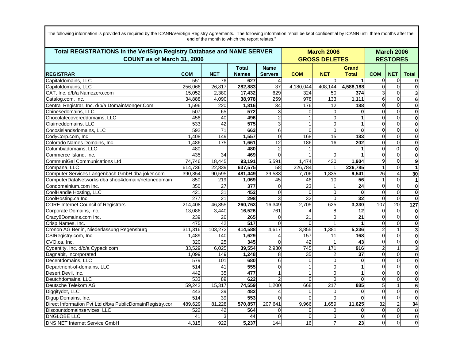| Total REGISTRATIONS in the VeriSign Registry Database and NAME SERVER<br>COUNT as of March 31, 2006 |            |                 | <b>March 2006</b><br><b>GROSS DELETES</b> |                               |                  | <b>March 2006</b><br><b>RESTORES</b> |                       |                 |                       |                         |
|-----------------------------------------------------------------------------------------------------|------------|-----------------|-------------------------------------------|-------------------------------|------------------|--------------------------------------|-----------------------|-----------------|-----------------------|-------------------------|
| <b>REGISTRAR</b>                                                                                    | <b>COM</b> | <b>NET</b>      | <b>Total</b><br><b>Names</b>              | <b>Name</b><br><b>Servers</b> | <b>COM</b>       | <b>NET</b>                           | Grand<br><b>Total</b> | <b>COM</b>      | <b>NET</b>            | <b>Total</b>            |
| Capitaldomains, LLC                                                                                 | 551        | 76              | 627                                       |                               |                  | $\Omega$                             | 1                     | $\Omega$        | $\Omega$              | $\bf{0}$                |
| Capitoldomains, LLC                                                                                 | 256,066    | 26,817          | 282,883                                   | $\overline{37}$               | 4,180,044        | 408,144                              | 4,588,188             | $\Omega$        | $\Omega$              | $\mathbf 0$             |
| CAT, Inc. d/b/a Namezero.com                                                                        | 15,052     | 2,380           | 17,432                                    | 629                           | 324              | 50                                   | 374                   | 3               | $\Omega$              | $\mathbf{3}$            |
| Catalog.com, Inc.                                                                                   | 34,888     | 4,090           | 38,978                                    | 259                           | 978              | 133                                  | 1,111                 | 6               | $\mathbf 0$           | $6\phantom{1}6$         |
| Central Registrar, Inc. d/b/a DomainMonger.Com                                                      | 1,596      | 220             | 1,816                                     | $\overline{34}$               | 176              | 12                                   | 188                   | $\Omega$        | $\Omega$              | $\mathbf 0$             |
| Chinesedomains, LLC                                                                                 | 507        | 65              | 572                                       | 3                             | $\Omega$         | $\Omega$                             | $\Omega$              | $\Omega$        | $\Omega$              | $\mathbf 0$             |
| Chocolatecovereddomains, LLC                                                                        | 456        | 40              | 496                                       | $\overline{2}$                | $\mathbf{1}$     | 0                                    | $\mathbf{1}$          | $\Omega$        | $\Omega$              | $\mathbf 0$             |
| Claimeddomains, LLC                                                                                 | 533        | 42              | 575                                       | 3                             | 1                | $\overline{0}$                       | 1                     | $\Omega$        | $\Omega$              | $\mathbf 0$             |
| Cocosislandsdomains, LLC                                                                            | 592        | $\overline{71}$ | 663                                       | 6                             | $\Omega$         | 0                                    | $\bf{0}$              | $\Omega$        | $\Omega$              | $\mathbf 0$             |
| CodyCorp.com, Inc                                                                                   | 1,408      | 149             | 1,557                                     | $\overline{0}$                | 168              | $\overline{15}$                      | 183                   | $\Omega$        | $\Omega$              | $\mathbf 0$             |
| Colorado Names Domains, Inc.                                                                        | 1,486      | 175             | 1,661                                     | 12                            | 186              | 16                                   | 202                   | $\mathbf{0}$    | $\mathbf 0$           | $\mathbf 0$             |
| Columbiadomains, LLC                                                                                | 480        |                 | 480                                       | $\overline{\mathbf{c}}$       |                  |                                      |                       | $\Omega$        | $\Omega$              | $\mathbf 0$             |
| Commerce Island, Inc.                                                                               | 435        | 34              | 469                                       | $\Omega$                      |                  | $\Omega$                             | $\blacktriangleleft$  | $\Omega$        | $\Omega$              | $\mathbf 0$             |
| <b>CommuniGal Communications Ltd</b>                                                                | 74.746     | 18,445          | 93.191                                    | 5,591                         | 1,474            | 430                                  | 1,904                 | 9               | $\Omega$              | 9                       |
| Compana, LLC                                                                                        | 614,736    | 22,839          | 637,575                                   | 58                            | 226,784          |                                      | 226,785               |                 | $\Omega$              | $\mathbf{1}$            |
| Computer Services Langenbach GmbH dba joker.com                                                     | 390,854    | 90,595          | 481,449                                   | 39,533                        | 7,706            | 1,835                                | 9,541                 | $\overline{26}$ | $\boldsymbol{\Delta}$ | 30                      |
| ComputerDataNetworks dba shop4domain/netonedomain                                                   | 850        | 219             | 1,069                                     | 45                            | 46               | 10                                   | 56                    |                 | $\mathbf 0$           | $\mathbf{1}$            |
| Condomainium.com Inc.                                                                               | 350        | $\overline{27}$ | $\overline{377}$                          | $\Omega$                      | 23               |                                      | $\overline{24}$       | $\Omega$        | $\Omega$              | $\mathbf 0$             |
| CoolHandle Hosting, LLC                                                                             | 421        | $\overline{31}$ | 452                                       | $\overline{0}$                | $\Omega$         | $\overline{0}$                       | $\bf{0}$              | $\Omega$        | $\Omega$              | $\mathbf{0}$            |
| CoolHosting.ca Inc.                                                                                 | 277        | $\overline{21}$ | 298                                       | 3                             | 32               | $\overline{0}$                       | 32                    | $\Omega$        | $\Omega$              | $\mathbf 0$             |
| <b>CORE</b> Internet Council of Registrars                                                          | 214,408    | 46,355          | 260,763                                   | 16,349                        | 2,705            | 625                                  | 3,330                 | 107             | 20                    | $127$                   |
| Corporate Domains, Inc.                                                                             | 13,086     | 3,440           | 16,526                                    | 761                           | 4                | 8                                    | 12                    | $\Omega$        | $\Omega$              | $\mathbf 0$             |
| Crazy8Domains.com Inc.                                                                              | 239        | 26              | 265                                       | $\overline{0}$                | 21               | 0                                    | $\overline{21}$       | $\Omega$        | $\mathbf 0$           | $\mathbf 0$             |
| Crisp Names, Inc.                                                                                   | 475        | 42              | 517                                       | $\Omega$                      | $\Omega$         | 1                                    | $\blacktriangleleft$  | $\Omega$        | $\overline{0}$        | $\mathbf 0$             |
| Cronon AG Berlin, Niederlassung Regensburg                                                          | 311,316    | 103,272         | 414,588                                   | 4,617                         | 3,855            | 1,381                                | 5,236                 |                 |                       | $\overline{\mathbf{3}}$ |
| CSIRegistry.com, Inc.                                                                               | 1,489      | 140             | 1,629                                     |                               | 157              | 11                                   | 168                   | $\Omega$        | $\Omega$              | $\mathbf 0$             |
| CVO.ca, Inc.                                                                                        | 320        | $\overline{25}$ | 345                                       | $\Omega$                      | $\overline{42}$  |                                      | 43                    | $\Omega$        | $\Omega$              | $\mathbf 0$             |
| Cydentity, Inc. d/b/a Cypack.com                                                                    | 33,529     | 6,025           | 39,554                                    | 2,930                         | $\overline{745}$ | $\frac{1}{171}$                      | 916                   | $\overline{2}$  |                       | دى                      |
| Dagnabit, Incorporated                                                                              | 1,099      | 149             | 1,248                                     | 8                             | 35               | 2                                    | $\overline{37}$       | $\Omega$        | $\mathbf 0$           | $\mathbf 0$             |
| Decentdomains, LLC                                                                                  | 579        | 101             | 680                                       | 6                             | $\overline{O}$   | $\mathbf 0$                          | $\mathbf 0$           | $\Omega$        | $\overline{0}$        | $\mathbf 0$             |
| Department-of-domains, LLC                                                                          | 514        | 41              | 555                                       | $\Omega$                      | $\mathbf{1}$     | $\overline{0}$                       | 1                     | $\Omega$        | $\Omega$              | $\mathbf 0$             |
| Desert Devil, Inc.                                                                                  | 442        | $\overline{35}$ | 477                                       | $\mathbf{1}$                  | 1                | $\overline{0}$                       | 1                     | $\Omega$        | $\Omega$              | $\mathbf 0$             |
| Deutchdomains, LLC                                                                                  | 533        | 89              | 622                                       | $\overline{2}$                | $\Omega$         | 0                                    | $\bf{0}$              | $\Omega$        | $\Omega$              | $\mathbf 0$             |
| Deutsche Telekom AG                                                                                 | 59,242     | 15,317          | 74,559                                    | 1,200                         | 668              | $\overline{217}$                     | 885                   | 5               |                       | 6                       |
| Diggitydot, LLC                                                                                     | 443        | 39              | 482                                       |                               | $\mathbf 0$      | 0                                    | 0                     | $\Omega$        | $\mathbf 0$           | $\mathbf 0$             |
| Digup Domains, Inc.                                                                                 | 514        | 39              | 553                                       | $\Omega$                      | $\Omega$         | 0                                    | $\mathbf 0$           | $\Omega$        | $\mathbf 0$           | $\mathbf 0$             |
| Direct Information Pvt Ltd d/b/a PublicDomainRegistry.cor                                           | 489,629    | 81,228          | 570,857                                   | 207,641                       | 9,966            | 1,659                                | 11,625                | 32              | $\overline{2}$        | 34                      |
| Discountdomainservices, LLC                                                                         | 522        | 42              | 564                                       | $\Omega$                      | $\Omega$         | $\Omega$                             | $\bf{0}$              | $\Omega$        | $\Omega$              | $\mathbf 0$             |
| <b>DNGLOBE LLC</b>                                                                                  | 41         | 3               | 44                                        | $\Omega$                      | $\Omega$         | 0                                    | $\mathbf 0$           | $\Omega$        | $\Omega$              | $\mathbf 0$             |
| <b>DNS NET Internet Service GmbH</b>                                                                | 4,315      | 922             | 5,237                                     | 144                           | 16               | $\overline{7}$                       | $\overline{23}$       | $\Omega$        | $\Omega$              | $\mathbf{0}$            |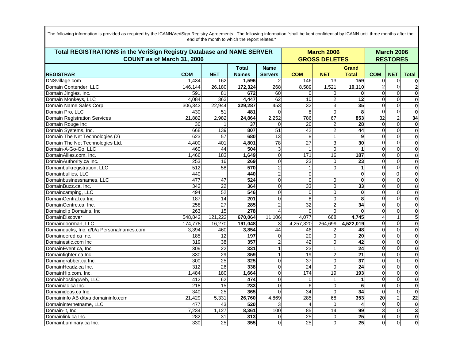| Total REGISTRATIONS in the VeriSign Registry Database and NAME SERVER<br>COUNT as of March 31, 2006 |                  |                 |                              | <b>March 2006</b><br><b>GROSS DELETES</b> | <b>March 2006</b><br><b>RESTORES</b> |                |                              |            |                |                         |
|-----------------------------------------------------------------------------------------------------|------------------|-----------------|------------------------------|-------------------------------------------|--------------------------------------|----------------|------------------------------|------------|----------------|-------------------------|
| <b>REGISTRAR</b>                                                                                    | <b>COM</b>       | <b>NET</b>      | <b>Total</b><br><b>Names</b> | <b>Name</b><br><b>Servers</b>             | <b>COM</b>                           | <b>NET</b>     | <b>Grand</b><br><b>Total</b> | <b>COM</b> | <b>NET</b>     | <b>Total</b>            |
| DNSvillage.com                                                                                      | 1,434            | 162             | 1,596                        | 2                                         | 146                                  | 13             | 159                          | $\Omega$   | $\Omega$       | 0                       |
| Domain Contender, LLC                                                                               | 146.144          | 26,180          | 172,324                      | 268                                       | 8,589                                | 1,521          | 10,110                       |            |                | $\overline{2}$          |
| Domain Jingles, Inc.                                                                                | 591              | 81              | 672                          | 60                                        | $\Omega$                             | $\Omega$       | $\Omega$                     | $\Omega$   |                | $\bf{0}$                |
| Domain Monkeys, LLC                                                                                 | 4,084            | 363             | 4,447                        | 62                                        | 10                                   | $\mathbf{2}$   | $\overline{12}$              | $\Omega$   | $\Omega$       | $\bf{0}$                |
| Domain Name Sales Corp.                                                                             | 306,343          | 22,944          | 329,287                      | 453                                       | 32                                   | $\overline{3}$ | 35                           | $\Omega$   |                | $\bf{0}$                |
| Domain Pro, LLC                                                                                     | 430              | 51              | 481                          | $\Omega$                                  | 8                                    | $\overline{0}$ | 8                            | $\Omega$   | $\Omega$       | $\bf{0}$                |
| <b>Domain Registration Services</b>                                                                 | 21,882           | 2,982           | 24,864                       | 2,252                                     | 786                                  | 67             | 853                          | 32         | $\overline{2}$ | 34                      |
| Domain Rouge Inc                                                                                    | 36               |                 | 37                           | $\Omega$                                  | 26                                   | $\overline{2}$ | $\overline{28}$              | $\Omega$   |                | $\bf{0}$                |
| Domain Systems, Inc.                                                                                | 668              | 139             | 807                          | 51                                        | 42                                   | $\overline{a}$ | 44                           | $\Omega$   | $\Omega$       | $\bf{0}$                |
| Domain The Net Technologies (2)                                                                     | 623              | $\overline{57}$ | 680                          | $\overline{13}$                           | 8                                    | 1 <sup>1</sup> | 9                            | $\Omega$   | $\Omega$       | $\bf{0}$                |
| Domain The Net Technologies Ltd.                                                                    | 4,400            | 401             | 4,801                        | 78                                        | $\overline{27}$                      | $\overline{3}$ | $\overline{30}$              | $\Omega$   |                | $\bf{0}$                |
| Domain-A-Go-Go, LLC                                                                                 | 460              | 44              | 504                          | 3                                         |                                      | $\overline{0}$ | 1                            | $\Omega$   | $\Omega$       | 0                       |
| DomainAllies.com, Inc.                                                                              | 1,466            | 183             | 1,649                        | $\mathbf 0$                               | 171                                  | 16             | 187                          | $\Omega$   | $\Omega$       | $\bf{0}$                |
| DomainAuthority.ca Inc.                                                                             | 253              | 16              | 269                          | $\overline{0}$                            | 23                                   | $\overline{0}$ | $\overline{23}$              | $\Omega$   |                | $\mathbf 0$             |
| Domainbulkregistration, LLC                                                                         | 512              | 58              | 570                          | $\overline{2}$                            |                                      | $\Omega$       | 1                            | $\Omega$   | $\Omega$       | 0                       |
| Domainbullies, LLC                                                                                  | 440              |                 | 440                          | $\overline{c}$                            | 0                                    |                | $\mathbf 0$                  | $\Omega$   | $\Omega$       | $\mathbf 0$             |
| Domainbusinessnames, LLC                                                                            | 477              | 47              | 524                          | 0                                         | $\Omega$                             | $\overline{0}$ | $\bf{0}$                     | $\Omega$   |                | $\bf{0}$                |
| DomainBuzz.ca, Inc.                                                                                 | $\overline{342}$ | $\overline{22}$ | 364                          | 0                                         | 33                                   | $\overline{0}$ | 33                           | $\Omega$   | $\Omega$       | 0                       |
| Domaincamping, LLC                                                                                  | 494              | 52              | 546                          | $\overline{0}$                            | $\mathbf 0$                          | $\overline{0}$ | $\mathbf 0$                  | $\Omega$   | $\Omega$       | $\bf{0}$                |
| DomainCentral.ca Inc.                                                                               | 187              | $\overline{14}$ | 201                          | $\overline{0}$                            | 8                                    | $\overline{0}$ | 8                            | $\Omega$   |                | $\mathbf 0$             |
| DomainCentre.ca, Inc.                                                                               | 258              | $\overline{27}$ | 285                          | $\overline{2}$                            | $\overline{32}$                      | $\overline{2}$ | $\overline{34}$              | $\Omega$   |                | 0                       |
| Domainclip Domains, Inc.                                                                            | 263              | 15              | 278                          | 4                                         | $\Omega$                             | $\Omega$       | $\bf{0}$                     | $\Omega$   | $\Omega$       | $\bf{0}$                |
| DomainDiscover                                                                                      | 548,842          | 121,222         | 670,064                      | 11,106                                    | 4,077                                | 668            | 4,745                        |            |                | $\overline{\mathbf{5}}$ |
| Domaindoorman, LLC                                                                                  | 174,778          | 16,270          | 191,048                      | 3                                         | 4,257,320                            | 264,699        | 4,522,019                    | $\Omega$   | $\Omega$       | 0                       |
| Domainducks, Inc. d/b/a Personalnames.com                                                           | 3,394            | 460             | 3,854                        | 44                                        | 46                                   | 2              | 48                           | $\Omega$   | $\Omega$       | $\bf{0}$                |
| Domaineered.ca Inc.                                                                                 | 185              | 12              | 197                          | 0                                         | $\overline{20}$                      | $\Omega$       | $\overline{20}$              | $\Omega$   |                | $\mathbf 0$             |
| Domainestic.com Inc                                                                                 | 319              | 38              | 357                          |                                           | $\overline{42}$                      | $\Omega$       | 42                           | $\Omega$   |                | 0                       |
| DomainEvent.ca, Inc.                                                                                | 309              | $\overline{22}$ | 331                          |                                           | $\overline{23}$                      | 1 <sup>1</sup> | $\overline{24}$              | $\Omega$   | $\Omega$       | $\bf{0}$                |
| Domainfighter.ca Inc.                                                                               | 330              | 29              | 359                          |                                           | 19                                   | $\overline{2}$ | $\overline{21}$              | $\Omega$   |                | $\bf{0}$                |
| Domaingrabber.ca Inc.                                                                               | 300              | 25              | 325                          | 0                                         | $\overline{37}$                      | $\overline{0}$ | $\overline{37}$              | $\Omega$   | $\Omega$       | 0                       |
| DomainHeadz.ca Inc.                                                                                 | 312              | 26              | 338                          | 0                                         | $\overline{24}$                      | $\overline{0}$ | $\overline{24}$              | $\Omega$   | $\Omega$       | $\bf{0}$                |
| DomainHip.com, Inc.                                                                                 | 1.484            | 180             | 1,664                        | 0                                         | 174                                  | 19             | 193                          | $\Omega$   |                | $\mathbf 0$             |
| Domainhostingweb, LLC                                                                               | 412              | 62              | 474                          | 0                                         | $\mathbf{0}$                         | 1              |                              | $\Omega$   |                | 0                       |
| Domainiac.ca Inc.                                                                                   | 218              | $\overline{15}$ | 233                          | 0                                         | 6                                    | $\overline{0}$ | 6                            | $\Omega$   | $\Omega$       | $\bf{0}$                |
| Domainideas.ca Inc.                                                                                 | 340              | $\overline{25}$ | 365                          | $\Omega$                                  | 34                                   | $\Omega$       | 34                           | $\Omega$   | $\Omega$       | $\mathbf 0$             |
| Domaininfo AB d/b/a domaininfo.com                                                                  | 21,429           | 5,331           | 26,760                       | 4,869                                     | 285                                  | 68             | 353                          | 20         | $\overline{2}$ | 22                      |
| Domaininternetname, LLC                                                                             | 477              | 43              | 520                          |                                           | $\boldsymbol{\Delta}$                | $\Omega$       | 4                            | $\Omega$   | $\Omega$       | $\mathbf 0$             |
| Domain-it. Inc.                                                                                     | 7,234            | 1,127           | 8,361                        | 100                                       | 85                                   | 14             | 99                           |            |                | 3                       |
| Domainlink.ca Inc.                                                                                  | 282              | 31              | 313                          | $\Omega$                                  | 25                                   | $\Omega$       | $\overline{25}$              | $\Omega$   | $\Omega$       | $\mathbf 0$             |
| DomainLuminary.ca Inc.                                                                              | 330              | 25              | 355                          | $\Omega$                                  | 25                                   | $\Omega$       | 25                           | $\Omega$   | $\Omega$       | $\mathbf 0$             |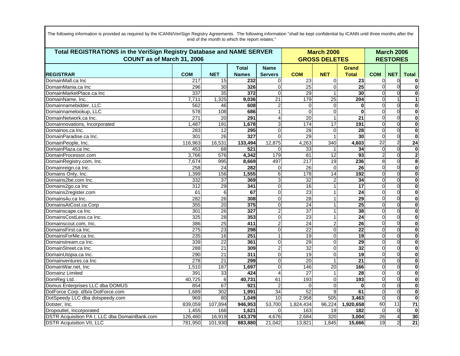| Total REGISTRATIONS in the VeriSign Registry Database and NAME SERVER<br>COUNT as of March 31, 2006 |            |                 |              |                     |                       | <b>March 2006</b><br><b>GROSS DELETES</b> |                 |                                  | <b>March 2006</b><br><b>RESTORES</b> |                              |
|-----------------------------------------------------------------------------------------------------|------------|-----------------|--------------|---------------------|-----------------------|-------------------------------------------|-----------------|----------------------------------|--------------------------------------|------------------------------|
|                                                                                                     | <b>COM</b> | <b>NET</b>      | <b>Total</b> | <b>Name</b>         |                       |                                           | Grand           |                                  |                                      |                              |
| <b>REGISTRAR</b>                                                                                    |            |                 | <b>Names</b> | <b>Servers</b><br>0 | <b>COM</b>            | <b>NET</b>                                | <b>Total</b>    | <b>COM</b>                       | <b>NET</b>                           | <b>Total</b>                 |
| DomainMall.ca Inc                                                                                   | 217<br>296 | 15<br>30        | 232<br>326   | 0                   | 23<br>$\overline{25}$ | $\Omega$<br>$\overline{0}$                | 23<br>25        | 0<br>$\Omega$                    | 0                                    | 0<br>$\mathbf 0$             |
| DomainMania.ca Inc                                                                                  | 337        | 35              | 372          | 0                   | 29                    | $\mathbf{1}$                              | 30              | $\Omega$                         |                                      |                              |
| DomainMarketPlace.ca Inc<br>DomainName, Inc.                                                        | 7,711      | 1,325           | 9,036        | $\overline{21}$     | 179                   | 25                                        | 204             | $\Omega$                         |                                      | 0                            |
| Domainnamebidder, LLC                                                                               | 562        | 46              | 608          | $\overline{c}$      | $\mathbf 0$           | $\mathbf{0}$                              | $\bf{0}$        | 0                                | 0                                    | 1<br>$\overline{\mathbf{0}}$ |
| Domainnamelookup, LLC                                                                               |            | 108             |              | 1                   | $\Omega$              | $\mathbf 0$                               | $\Omega$        | $\Omega$                         | $\Omega$                             |                              |
| DomainNetwork.ca Inc.                                                                               | 578<br>271 |                 | 686<br>291   |                     | 20                    | $\mathbf{1}$                              |                 | $\Omega$                         | ∩                                    | 0                            |
|                                                                                                     |            | 20              |              | 4                   |                       | 17                                        | 21<br>191       |                                  |                                      | 0                            |
| Domainnovations, Incorporated                                                                       | 1,487      | 191             | 1,678        | 3<br>0              | 174                   |                                           |                 | $\overline{0}$<br>$\overline{0}$ | $\Omega$                             | $\mathbf 0$                  |
| Domainos.ca Inc.                                                                                    | 283        | 12              | 295          |                     | 28                    | $\mathbf{0}$                              | 28              |                                  | $\Omega$                             | 0                            |
| DomainParadise.ca Inc.                                                                              | 301        | $\overline{26}$ | 327          | 0                   | $\overline{29}$       | $\mathbf{1}$                              | 30              | $\overline{0}$                   | $\Omega$                             | 0                            |
| DomainPeople, Inc.                                                                                  | 116,963    | 16,531          | 133,494      | 12,875              | 4,263                 | 340                                       | 4,603           | 22                               |                                      | 24                           |
| DomainPlaza.ca Inc.                                                                                 | 453        | 68              | 521          | 0                   | 33                    |                                           | 34              | $\Omega$                         | $\Omega$                             | 0                            |
| DomainProcessor.com                                                                                 | 3,766      | 576             | 4,342        | 179                 | 81                    | 12                                        | 93              | $\overline{2}$                   | $\Omega$                             | $\overline{\mathbf{c}}$      |
| DomainRegistry.com, Inc.                                                                            | 7,674      | 995             | 8,669        | 497                 | 217                   | 19                                        | 236             | 8                                | U                                    | 8                            |
| Domainreign.ca Inc.                                                                                 | 258        | 24              | 282          | 0                   | 26                    | $\Omega$                                  | 26              | $\Omega$                         | $\Omega$                             | 0                            |
| Domains Only, Inc.                                                                                  | 1,399      | 156             | 1,555        | $\overline{6}$      | 178                   | $\overline{14}$                           | 192             | 0                                |                                      | 0                            |
| Domains2be.com Inc.                                                                                 | 332        | $\overline{37}$ | 369          | $\overline{3}$      | 32                    | $\overline{2}$                            | 34              | $\Omega$                         | $\Omega$                             | 0                            |
| Domains2go.ca Inc                                                                                   | 312        | 29              | 341          | 0                   | 16                    | 1                                         | 17              | $\Omega$                         | $\Omega$                             | 0                            |
| Domains2register.com                                                                                | 61         | 6               | 67           | $\overline{0}$      | 23                    | 1                                         | 24              | $\Omega$                         |                                      | $\mathbf 0$                  |
| Domains4u.ca Inc.                                                                                   | 282        | 26              | 308          | 0                   | 28                    | 1                                         | 29              | $\Omega$                         | $\Omega$                             | 0                            |
| DomainsAtCost.ca Corp                                                                               | 355        | 20              | 375          | $\overline{0}$      | 24                    | 1                                         | 25              | <sub>0</sub>                     | $\Omega$                             | 0                            |
| Domainscape.ca Inc                                                                                  | 301        | 26              | 327          | $\overline{2}$      | $\overline{37}$       | $\mathbf{1}$                              | 38              | $\overline{0}$                   |                                      | 0                            |
| DomainsCostLess.ca Inc.                                                                             | 325        | 28              | 353          | 0                   | 23                    | $\mathbf{1}$                              | 24              | 0                                | U                                    | 0                            |
| Domainscout.com, Inc.                                                                               | 386        | 25              | 411          | $\overline{2}$      | 24                    | $\boldsymbol{2}$                          | $\overline{26}$ | $\overline{0}$                   | ∩                                    | 0                            |
| DomainsFirst.ca Inc.                                                                                | 275        | 23              | 298          | $\overline{0}$      | $\overline{22}$       | $\mathbf 0$                               | 22              | $\Omega$                         | O                                    | 0                            |
| DomainsForMe.ca Inc.                                                                                | 235        | 16              | 251          | $\mathbf{1}$        | 19                    | $\Omega$                                  | 19              | $\Omega$                         | $\Omega$                             | 0                            |
| Domainstream.ca Inc.                                                                                | 339        | $\overline{22}$ | 361          | 0                   | 29                    | $\pmb{0}$                                 | 29              | 0                                |                                      | $\overline{0}$               |
| DomainStreet.ca Inc.                                                                                | 288        | $\overline{21}$ | 309          | $\overline{2}$      | 32                    | $\Omega$                                  | $\overline{32}$ | $\overline{0}$                   | ∩                                    | 0                            |
| DomainUtopia.ca Inc.                                                                                | 290        | 21              | 311          | $\overline{0}$      | 19                    | $\mathbf 0$                               | 19              | $\Omega$                         | <sup>0</sup>                         | 0                            |
| Domainventures.ca Inc                                                                               | 278        | 21              | 299          | $\overline{0}$      | 20                    | $\mathbf{1}$                              | 21              | $\Omega$                         |                                      | 0                            |
| DomainWar.net, Inc                                                                                  | 1,510      | 187             | 1,697        | 0                   | 146                   | 20                                        | 166             | $\Omega$                         |                                      | 0                            |
| Domainz Limited                                                                                     | 391        | 33              | 424          | 4                   | 27                    | 1                                         | 28              | 0                                | $\Omega$                             | 0                            |
| DomReg Ltd.                                                                                         | 40,725     | $\overline{6}$  | 40,731       | 61                  | 193                   | $\mathbf 0$                               | 193             | $\overline{0}$                   |                                      | 0                            |
| Domus Enterprises LLC dba DOMUS                                                                     | 854        | 67              | 921          | $\overline{c}$      | $\Omega$              | $\Omega$                                  | $\bf{0}$        | $\Omega$                         | $\Omega$                             | 0                            |
| DotForce Corp. d/b/a DotForce.com                                                                   | 1.689      | 302             | 1,991        | $\overline{34}$     | 52                    | 9                                         | 61              | $\Omega$                         | $\Omega$                             | 0                            |
| DotSpeedy LLC dba dotspeedy.com                                                                     | 969        | 80              | 1,049        | 10                  | 2,958                 | 505                                       | 3,463           | $\Omega$                         | $\Omega$                             | 0                            |
| Dotster, Inc.                                                                                       | 839,059    | 107,894         | 946,953      | 53,700              | 1,824,434             | 96,224                                    | 1,920,658       | 60                               | 11                                   | 71                           |
| Dropoutlet, Incorporated                                                                            | 1,455      | 166             | 1,621        | 0                   | 163                   | 19                                        | 182             | $\Omega$                         |                                      | $\mathbf 0$                  |
| DSTR Acquisition PA I, LLC dba DomainBank.com                                                       | 126,460    | 16,919          | 143,379      | 4,676               | 2,684                 | 320                                       | 3,004           | 26                               |                                      | 30                           |
| <b>DSTR Acquisition VII, LLC</b>                                                                    | 781.950    | 101,930         | 883,880      | 21,042              | 13,821                | 1,845                                     | 15,666          | 19                               | $\overline{2}$                       | $\overline{21}$              |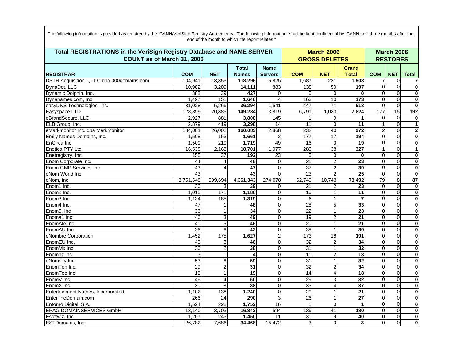|                                             | Total REGISTRATIONS in the VeriSign Registry Database and NAME SERVER<br>COUNT as of March 31, 2006 |                |                              |                               |                 | <b>March 2006</b><br><b>GROSS DELETES</b> |                              |            |            | <b>March 2006</b><br><b>RESTORES</b> |
|---------------------------------------------|-----------------------------------------------------------------------------------------------------|----------------|------------------------------|-------------------------------|-----------------|-------------------------------------------|------------------------------|------------|------------|--------------------------------------|
| <b>REGISTRAR</b>                            | <b>COM</b>                                                                                          | <b>NET</b>     | <b>Total</b><br><b>Names</b> | <b>Name</b><br><b>Servers</b> | <b>COM</b>      | <b>NET</b>                                | <b>Grand</b><br><b>Total</b> | <b>COM</b> | <b>NET</b> | <b>Total</b>                         |
| DSTR Acquisition. I, LLC dba 000domains.com | 104.941                                                                                             | 13,355         | 118,296                      | 5,825                         | 1,687           | 221                                       | 1,908                        |            | $\Omega$   | 7                                    |
| DvnaDot, LLC                                | 10.902                                                                                              | 3,209          | 14,111                       | 883                           | 138             | 59                                        | 197                          | $\Omega$   |            | $\overline{\mathbf{0}}$              |
| Dynamic Dolphin, Inc.                       | 388                                                                                                 | 39             | 427                          | $\Omega$                      | $\Omega$        | $\Omega$                                  | $\bf{0}$                     | $\Omega$   |            | $\bf{0}$                             |
| Dynanames.com, Inc.                         | 1,497                                                                                               | 151            | 1,648                        | 4                             | 163             | 10                                        | 173                          | $\Omega$   | $\Omega$   | $\bf{0}$                             |
| easyDNS Technologies, Inc.                  | 31,028                                                                                              | 5,266          | 36,294                       | 1,541                         | 447             | $\overline{71}$                           | $\overline{518}$             | $\Omega$   | $\Omega$   | $\overline{\mathbf{0}}$              |
| Easyspace LTD                               | 128,899                                                                                             | 20,385         | 149,284                      | 3,819                         | 6,791           | 1,033                                     | 7,824                        | 177        | 15         | 192                                  |
| eBrandSecure, LLC                           | 2,927                                                                                               | 881            | 3,808                        | 145                           |                 | $\overline{0}$                            | 1                            | $\Omega$   | $\Omega$   | $\bf{0}$                             |
| ELB Group, Inc.                             | 2.879                                                                                               | 419            | 3,298                        | 14                            | 11              | $\overline{0}$                            | 11                           |            | $\Omega$   | $\mathbf{1}$                         |
| eMarkmonitor Inc. dba Markmonitor           | 134,081                                                                                             | 26,002         | 160,083                      | 2,868                         | 232             | $\overline{40}$                           | $\overline{272}$             |            | $\Omega$   | $\mathbf{2}$                         |
| Emily Names Domains, Inc.                   | 1,508                                                                                               | 153            | 1,661                        | 2                             | 177             | 17                                        | 194                          | $\Omega$   | $\Omega$   | $\mathbf 0$                          |
| EnCirca Inc                                 | 1,509                                                                                               | 210            | 1,719                        | 49                            | 16              | 3                                         | $\overline{19}$              | $\Omega$   | $\Omega$   | $\overline{\mathbf{0}}$              |
| Enetica PTY Ltd                             | 16,538                                                                                              | 2,163          | 18,701                       | 1,077                         | 289             | 38                                        | 327                          |            | $\Omega$   | 1                                    |
| Enetregistry, Inc                           | 155                                                                                                 | 37             | 192                          | 23                            | $\Omega$        | $\overline{0}$                            | $\bf{0}$                     | $\Omega$   | $\Omega$   | $\bf{0}$                             |
| Enom Corporate Inc.                         | 44                                                                                                  | $\Delta$       | 48                           | $\Omega$                      | $\overline{21}$ | $\overline{2}$                            | $\overline{23}$              | $\Omega$   |            | $\mathbf 0$                          |
| <b>Enom GMP Services Inc</b>                | $\overline{43}$                                                                                     | 4              | $\overline{47}$              | $\Omega$                      | $\overline{37}$ | $\overline{a}$                            | 39                           | $\Omega$   | $\Omega$   | 0                                    |
| eNom World Inc                              | 43                                                                                                  |                | 43                           | $\Omega$                      | 23              | $\overline{2}$                            | $\overline{25}$              | $\Omega$   | $\Omega$   | $\mathbf 0$                          |
| eNom, Inc.                                  | 3,751,649                                                                                           | 609,694        | 4,361,343                    | 274,078                       | 62,749          | 10,743                                    | 73,492                       | 79         | 8          | 87                                   |
| Enom1 Inc.                                  | 36                                                                                                  | 3              | 39                           | 0                             | 21              | 2                                         | 23                           | $\Omega$   | $\Omega$   | 0                                    |
| Enom <sub>2</sub> Inc.                      | 1,015                                                                                               | 171            | 1,186                        | $\overline{0}$                | 10              | $\mathbf{1}$                              | $\overline{11}$              | $\Omega$   | $\Omega$   | $\mathbf 0$                          |
| Enom <sub>3</sub> Inc.                      | 1,134                                                                                               | 185            | 1,319                        | $\Omega$                      | 6               | $\mathbf{1}$                              | $\overline{7}$               | $\Omega$   |            | $\bf{0}$                             |
| Enom4 Inc.                                  | 47                                                                                                  |                | 48                           | 0                             | 28              | 5 <sup>1</sup>                            | 33                           | $\Omega$   |            | $\bf{0}$                             |
| Enom <sub>5</sub> , Inc                     | 33                                                                                                  | $\mathbf{1}$   | $\overline{34}$              | 0                             | 22              | 1 <sup>1</sup>                            | $\overline{23}$              | $\Omega$   | $\Omega$   | $\mathbf 0$                          |
| Enoma1 Inc                                  | 46                                                                                                  | 3              | 49                           | 0                             | 19              | $\overline{2}$                            | $\overline{21}$              | $\Omega$   |            | $\bf{0}$                             |
| EnomAte Inc                                 | $\overline{41}$                                                                                     | 5              | 46                           | 0                             | 20              | $\mathbf{1}$                              | $\overline{21}$              | $\Omega$   | $\Omega$   | 0                                    |
| EnomAU Inc.                                 | 36                                                                                                  | 6              | 42                           | 0                             | 38              | $\mathbf{1}$                              | 39                           | $\Omega$   | $\Omega$   | $\bf{0}$                             |
| eNombre Corporation                         | 1,452                                                                                               | 175            | 1,627                        | $\overline{2}$                | 173             | 18                                        | 191                          | $\Omega$   |            | $\bf{0}$                             |
| EnomEU Inc.                                 | 43                                                                                                  | 3              | 46                           | 0                             | 32              | $\overline{a}$                            | 34                           | $\Omega$   |            | 0                                    |
| EnomMx Inc.                                 | $\overline{36}$                                                                                     | $\overline{c}$ | 38                           | 0                             | $\overline{31}$ | 1 <sup>1</sup>                            | 32                           | $\Omega$   | $\Omega$   | $\mathbf 0$                          |
| Enomnz Inc                                  | 3                                                                                                   | $\mathbf{1}$   | 4                            | 0                             | $\overline{11}$ | $\overline{2}$                            | $\overline{13}$              | $\Omega$   | $\Omega$   | $\bf{0}$                             |
| eNomsky Inc.                                | 53                                                                                                  | 6              | 59                           | 0                             | 31              | $\mathbf{1}$                              | 32                           | $\Omega$   | $\Omega$   | 0                                    |
| EnomTen Inc.                                | 29                                                                                                  | $\overline{2}$ | 31                           | 0                             | 32              | $\overline{2}$                            | $\overline{34}$              | $\Omega$   | $\Omega$   | $\bf{0}$                             |
| EnomToo Inc                                 | $\overline{18}$                                                                                     |                | $\overline{19}$              | $\Omega$                      | $\overline{14}$ | 4                                         | $\overline{18}$              | $\Omega$   |            | $\bf{0}$                             |
| EnomV Inc.                                  | 46                                                                                                  | 4              | 50                           | 0                             | 29              | $\overline{3}$                            | $\overline{32}$              | $\Omega$   |            | 0                                    |
| EnomX Inc.                                  | $\overline{30}$                                                                                     | 8              | 38                           | 0                             | 33              | $\overline{4}$                            | $\overline{37}$              | $\Omega$   | $\Omega$   | $\mathbf 0$                          |
| Entertainment Names, Incorporated           | 1,102                                                                                               | 138            | 1,240                        | 0                             | 20              | 1                                         | 21                           | $\Omega$   | $\Omega$   | $\mathbf 0$                          |
| EnterTheDomain.com                          | 266                                                                                                 | 24             | 290                          | 3                             | 26              | $\mathbf{1}$                              | $\overline{27}$              | $\Omega$   | $\Omega$   | $\bf{0}$                             |
| Entorno Digital, S.A.                       | 1,524                                                                                               | 228            | 1,752                        | 16                            |                 | $\overline{0}$                            | $\mathbf 1$                  | $\Omega$   | $\Omega$   | $\bf{0}$                             |
| <b>EPAG DOMAINSERVICES GmbH</b>             | 13,140                                                                                              | 3,703          | 16,843                       | 594                           | 139             | $\overline{41}$                           | 180                          | $\Omega$   |            | $\bf{0}$                             |
| Esoftwiz, Inc.                              | 1,207                                                                                               | 243            | 1,450                        | 11                            | 31              | $\overline{9}$                            | 40                           | $\Omega$   | $\Omega$   | 0                                    |
| <b>ESTDomains. Inc.</b>                     | 26,782                                                                                              | 7,686          | 34,468                       | 15,472                        | 3               | $\Omega$                                  | 3 <sup>l</sup>               | $\Omega$   | $\Omega$   | $\mathbf 0$                          |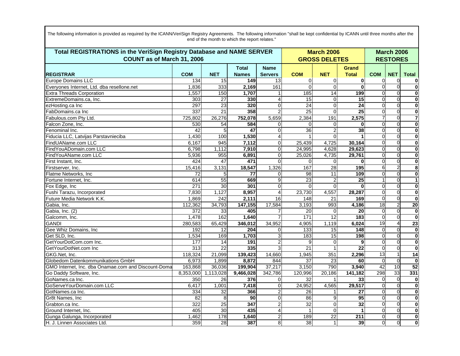| Terri BEAIATRATIANA ! (L. V. JA) Beatrus Bertiere es JAIAME AEBVER.                                                                                                                                                                        | $\mathbf{r}$ and $\mathbf{r}$ | . . |
|--------------------------------------------------------------------------------------------------------------------------------------------------------------------------------------------------------------------------------------------|-------------------------------|-----|
| The following information is provided as required by the ICANN/VeriSign Registry Agreements. The following information "shall be kept confidential by ICANN until three months after the<br>end of the month to which the report relates." |                               |     |
|                                                                                                                                                                                                                                            |                               |     |
|                                                                                                                                                                                                                                            |                               |     |

| Total REGISTRATIONS in the VeriSign Registry Database and NAME SERVER<br>COUNT as of March 31, 2006 |            |                 |                              |                               |                 | <b>March 2006</b><br><b>GROSS DELETES</b> |                       |                 |            | <b>March 2006</b><br><b>RESTORES</b> |
|-----------------------------------------------------------------------------------------------------|------------|-----------------|------------------------------|-------------------------------|-----------------|-------------------------------------------|-----------------------|-----------------|------------|--------------------------------------|
| <b>REGISTRAR</b>                                                                                    | <b>COM</b> | <b>NET</b>      | <b>Total</b><br><b>Names</b> | <b>Name</b><br><b>Servers</b> | <b>COM</b>      | <b>NET</b>                                | Grand<br><b>Total</b> | <b>COM</b>      | <b>NET</b> | <b>Total</b>                         |
| <b>Europe Domains LLC</b>                                                                           | 134        | 15              | 149                          | 13                            | $\overline{0}$  | $\overline{0}$                            | $\bf{0}$              |                 | 0          | 0                                    |
| Everyones Internet, Ltd. dba resellone.net                                                          | 1,836      | 333             | 2,169                        | 161                           | $\overline{0}$  | $\overline{0}$                            | $\Omega$              |                 | $\Omega$   | $\boldsymbol{0}$                     |
| <b>Extra Threads Corporation</b>                                                                    | 1,557      | 150             | 1,707                        | 1                             | 185             | $\overline{14}$                           | 199                   |                 | $\Omega$   | $\bf{0}$                             |
| ExtremeDomains.ca, Inc.                                                                             | 303        | 27              | 330                          | 4                             | 15              | $\overline{0}$                            | 15                    | $\Omega$        | $\Omega$   | $\bf{0}$                             |
| ezHosting.ca Inc                                                                                    | 297        | $\overline{23}$ | 320                          | $\overline{0}$                | $\overline{24}$ | $\overline{0}$                            | $\overline{24}$       | $\Omega$        | $\Omega$   | $\bf{0}$                             |
| FabDomains.ca Inc                                                                                   | 337        | $\overline{21}$ | 358                          | $\overline{2}$                | $\overline{25}$ | $\Omega$                                  | $\overline{25}$       | 0               | $\Omega$   | $\mathbf 0$                          |
| Fabulous.com Pty Ltd.                                                                               | 725,802    | 26,276          | 752,078                      | 5,659                         | 2,384           | 191                                       | 2,575                 |                 | $\Omega$   | $\overline{7}$                       |
| Falcon Zone, Inc.                                                                                   | 530        | 54              | 584                          | 0                             | $\Omega$        | $\overline{0}$                            | $\bf{0}$              | $\Omega$        | $\Omega$   | $\bf{0}$                             |
| Fenominal Inc.                                                                                      | 42         | 5               | 47                           | $\overline{0}$                | 36              | $\overline{2}$                            | 38                    |                 | $\Omega$   | $\overline{\mathbf{0}}$              |
| Fiducia LLC, Latvijas Parstavnieciba                                                                | 1,430      | 100             | 1,530                        | 4                             |                 | $\Omega$                                  |                       | 0               | $\Omega$   | 0                                    |
| FindUAName.com LLC                                                                                  | 6,167      | 945             | 7,112                        | $\overline{0}$                | 25,439          | 4,725                                     | 30,164                | $\Omega$        | $\Omega$   | $\bf{0}$                             |
| FindYouADomain.com LLC                                                                              | 6,798      | 1,112           | 7,910                        | 0                             | 24,995          | 4,628                                     | 29,623                | $\Omega$        | $\Omega$   | $\mathbf 0$                          |
| FindYouAName.com LLC                                                                                | 5,936      | 955             | 6,891                        | $\Omega$                      | 25,026          | 4,735                                     | 29,761                | $\Omega$        | $\Omega$   | 0                                    |
| First Instant, Inc.                                                                                 | 424        | 47              | 471                          | $\Omega$                      | $\Omega$        | $\Omega$                                  | $\mathbf{0}$          | $\Omega$        | $\Omega$   | $\bf{0}$                             |
| Firstserver, Inc.                                                                                   | 15,416     | 3,131           | 18,547                       | 1,326                         | 167             | 28                                        | 195                   | 6               |            | 8                                    |
| Flatme Networks, Inc.                                                                               | 72         | 5               | 77                           | $\Omega$                      | 98              | 11                                        | 109                   |                 | $\Omega$   | $\bf{0}$                             |
| Fortune Internet, Inc.                                                                              | 614        | 55              | 669                          | 9                             | $\overline{23}$ | $\overline{2}$                            | $\overline{25}$       |                 | $\Omega$   | $\mathbf{1}$                         |
| Fox Edge, Inc                                                                                       | 271        | 30              | 301                          | $\overline{0}$                | $\Omega$        | $\Omega$                                  | $\mathbf 0$           | $\Omega$        | $\Omega$   | $\bf{0}$                             |
| Fushi Tarazu, Incorporated                                                                          | 7,830      | 1,127           | 8,957                        | 4                             | 23,730          | 4,557                                     | 28,287                | $\Omega$        | $\Omega$   | $\mathbf 0$                          |
| Future Media Network K.K.                                                                           | 1,869      | 242             | 2,111                        | 16                            | 148             | 21                                        | 169                   | $\Omega$        | $\Omega$   | $\bf{0}$                             |
| Gabia, Inc.                                                                                         | 112,362    | 34,793          | 147,155                      | 17,584                        | 3,193           | 993                                       | 4,186                 | $\overline{18}$ |            | $\overline{20}$                      |
| Gabia, Inc. (2)                                                                                     | 372        | 33              | 405                          | 7                             | 20              | $\Omega$                                  | 20                    | $\Omega$        | $\Omega$   | 0                                    |
| Galcomm, Inc.                                                                                       | 1,478      | 162             | 1,640                        |                               | 171             | $\overline{12}$                           | 183                   | $\Omega$        | $\Omega$   | $\bf{0}$                             |
| <b>GANDI</b>                                                                                        | 280,583    | 65,429          | 346,012                      | 34,952                        | 4,905           | 1,119                                     | 6,024                 | 19              |            | 23                                   |
| Gee Whiz Domains, Inc                                                                               | 192        | 12              | 204                          | $\Omega$                      | 133             | 15                                        | 148                   | $\Omega$        | $\Omega$   | 0                                    |
| Get SLD, Inc.                                                                                       | 1,534      | 169             | 1,703                        | 3                             | 183             | 15                                        | 198                   | $\Omega$        | $\Omega$   | $\mathbf 0$                          |
| GetYourDotCom.com Inc.                                                                              | 177        | 14              | 191                          | $\overline{2}$                | 9               | $\overline{0}$                            | 9                     | $\Omega$        | $\Omega$   | $\mathbf 0$                          |
| GetYourDotNet.com Inc                                                                               | 313        | $\overline{22}$ | 335                          | 3                             | $\overline{21}$ |                                           | $\overline{22}$       |                 | $\Omega$   | $\mathbf 0$                          |
| GKG.Net, Inc.                                                                                       | 118,324    | 21,099          | 139,423                      | 14,660                        | 1,945           | 351                                       | 2,296                 | 13              |            | 14                                   |
| Globedom Datenkommunikations GmbH                                                                   | 6,973      | 1,899           | 8,872                        | 844                           | 37              | $\overline{23}$                           | 60                    | $\Omega$        | $\Omega$   | $\mathbf 0$                          |
| GMO Internet, Inc. dba Onamae.com and Discount-Doma                                                 | 163,868    | 36,036          | 199,904                      | 37,217                        | 3,150           | 790                                       | 3,940                 | 42              | 10         | 52                                   |
| Go Daddy Software, Inc.                                                                             | 8,353,000  | 1,113,028       | 9,466,028                    | 342,786                       | 120,996         | 20,186                                    | 141,182               | 298             | 33         | 331                                  |
| GoNames.ca Inc.                                                                                     | 350        | 26              | 376                          | 0                             | 32              |                                           | 33                    | $\Omega$        | $\Omega$   | $\bf{0}$                             |
| GoServeYourDomain.com LLC                                                                           | 6,417      | 1,001           | 7,418                        | 0                             | 24,952          | 4,565                                     | 29,517                | $\Omega$        | ∩          | $\mathbf 0$                          |
| GotNames.ca Inc.                                                                                    | 334        | $\overline{32}$ | 366                          | $\overline{c}$                | 26              |                                           | 27                    | $\Omega$        | $\Omega$   | $\bf{0}$                             |
| Gr8t Names, Inc                                                                                     | 82         | 8               | 90                           | $\overline{0}$                | 86              | 9                                         | 95                    | $\Omega$        | $\Omega$   | 0                                    |
| Grabton.ca Inc.                                                                                     | 322        | 25              | 347                          | $\overline{2}$                | 32              | $\overline{O}$                            | 32                    | $\Omega$        | $\Omega$   | $\mathbf 0$                          |
| Ground Internet, Inc.                                                                               | 405        | 30              | 435                          | 4                             | $\mathbf{1}$    | $\Omega$                                  |                       | $\Omega$        | $\Omega$   | $\mathbf 0$                          |
| Gunga Galunga, Incorporated                                                                         | 1,462      | 178             | 1,640                        | 2                             | 189             | 22                                        | $\overline{211}$      | $\Omega$        | $\Omega$   | $\mathbf 0$                          |
| H. J. Linnen Associates Ltd.                                                                        | 359        | 28              | 387                          | 8 <sup>1</sup>                | 38              | 1                                         | 39                    | $\Omega$        | $\Omega$   | $\mathbf 0$                          |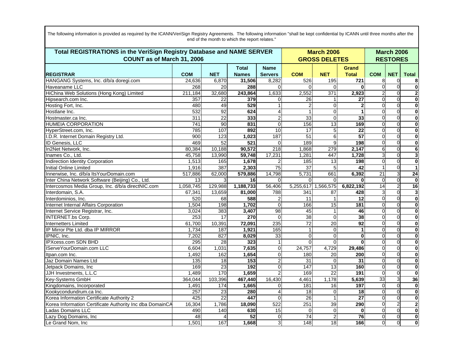| Total REGISTRATIONS in the VeriSign Registry Database and NAME SERVER<br>COUNT as of March 31, 2006 |            |                         |                              |                               |                 | <b>March 2006</b><br><b>GROSS DELETES</b> |                              |                 |                | <b>March 2006</b><br><b>RESTORES</b> |
|-----------------------------------------------------------------------------------------------------|------------|-------------------------|------------------------------|-------------------------------|-----------------|-------------------------------------------|------------------------------|-----------------|----------------|--------------------------------------|
| <b>REGISTRAR</b>                                                                                    | <b>COM</b> | <b>NET</b>              | <b>Total</b><br><b>Names</b> | <b>Name</b><br><b>Servers</b> | <b>COM</b>      | <b>NET</b>                                | <b>Grand</b><br><b>Total</b> | <b>COM</b>      | <b>NET</b>     | <b>Total</b>                         |
| HANGANG Systems, Inc. d/b/a doregi.com                                                              | 24,636     | 6,870                   | 31,506                       | 8,282                         | 526             | 195                                       | 721                          | 8               | $\Omega$       | 8                                    |
| Haveaname LLC                                                                                       | 268        | <b>20</b>               | 288                          | $\Omega$                      | $\Omega$        | $\Omega$                                  | O                            | $\Omega$        |                | $\overline{\mathbf{0}}$              |
| HiChina Web Solutions (Hong Kong) Limited                                                           | 211,184    | 32,680                  | 243,864                      | 1,633                         | 2,552           | 371                                       | 2,923                        |                 |                | $\overline{2}$                       |
| Hipsearch.com Inc.                                                                                  | 357        | $\overline{22}$         | 379                          | 0                             | 26              | 1                                         | 27                           | $\Omega$        | $\Omega$       | $\bf{0}$                             |
| Hosting Fort, Inc.                                                                                  | 480        | 49                      | 529                          | 1                             | $\overline{c}$  | $\overline{0}$                            | $\overline{2}$               | $\Omega$        |                | $\bf{0}$                             |
| Hostlane Inc.                                                                                       | 532        | 92                      | 624                          | 4                             | 1               | $\overline{0}$                            | 1                            | $\Omega$        | $\Omega$       | 0                                    |
| Hostmaster.ca Inc.                                                                                  | 311        | $\overline{22}$         | 333                          | $\overline{2}$                | 33              | $\overline{0}$                            | 33                           | $\Omega$        | $\Omega$       | $\bf{0}$                             |
| <b>HUMEIA CORPORATION</b>                                                                           | 741        | 90                      | 831                          | $\overline{0}$                | 156             | 13                                        | 169                          | $\Omega$        |                | $\bf{0}$                             |
| HyperStreet.com, Inc.                                                                               | 785        | 107                     | 892                          | 10                            | 17              | 5 <sup>1</sup>                            | $\overline{22}$              | $\Omega$        |                | $\mathbf 0$                          |
| I.D.R. Internet Domain Registry Ltd.                                                                | 900        | 123                     | 1,023                        | 187                           | $\overline{51}$ | $\overline{6}$                            | 57                           | $\Omega$        | $\Omega$       | $\bf{0}$                             |
| ID Genesis, LLC                                                                                     | 469        | 52                      | 521                          | $\overline{0}$                | 189             | $\overline{9}$                            | 198                          | $\Omega$        |                | $\bf{0}$                             |
| In2Net Network, Inc.                                                                                | 80,384     | 10,188                  | 90,572                       | 218                           | 1,868           | 279                                       | 2,147                        | 6               | $\Omega$       | 6                                    |
| Inames Co., Ltd.                                                                                    | 45,758     | 13,990                  | 59,748                       | 17,231                        | 1,281           | 447                                       | 1.728                        |                 | $\Omega$       | 3                                    |
| Indirection Identity Corporation                                                                    | 1,513      | 165                     | 1,678                        | $\overline{2}$                | 185             | 13                                        | 198                          | $\Omega$        |                | $\bf{0}$                             |
| <b>Initial Online Limited</b>                                                                       | 1,916      | 387                     | 2,303                        | 75                            | $\overline{37}$ | 5                                         | 42                           |                 |                | $\mathbf{1}$                         |
| Innerwise, Inc. d/b/a ItsYourDomain.com                                                             | 517,886    | 62,000                  | 579,886                      | 14,798                        | 5,731           | 661                                       | 6,392                        | $\overline{21}$ |                | $\overline{24}$                      |
| Inter China Network Software (Beijing) Co., Ltd.                                                    | 13         | 3                       | 16                           | $\overline{0}$                | $\Omega$        | $\Omega$                                  | O                            | $\Omega$        |                | $\bf{0}$                             |
| Intercosmos Media Group, Inc. d/b/a directNIC.com                                                   | 1,058,745  | 129,988                 | 1,188,733                    | 56,406                        | 5,255,617       | 1,566,575                                 | 6,822,192                    | 14              | $\overline{2}$ | 16                                   |
| Interdomain, S.A.                                                                                   | 67.341     | 13,659                  | 81,000                       | 788                           | 341             | 87                                        | 428                          |                 | $\Omega$       | 3                                    |
| Interdominios, Inc.                                                                                 | 520        | 68                      | 588                          | $\overline{\mathbf{c}}$       | 11              | 1                                         | 12                           | $\Omega$        |                | $\bf{0}$                             |
| Internet Internal Affairs Corporation                                                               | 1,504      | 198                     | 1,702                        | $\overline{0}$                | 166             | $\overline{15}$                           | 181                          | $\Omega$        | $\Omega$       | $\bf{0}$                             |
| Internet Service Registrar, Inc.                                                                    | 3,024      | $\frac{1}{383}$         | 3,407                        | 98                            | 45              | $\mathbf{1}$                              | 46                           | $\Omega$        | $\Omega$       | $\bf{0}$                             |
| <b>INTERNET.bs Corp.</b>                                                                            | 253        | 17                      | 270                          | $\mathbf 0$                   | 38              | $\overline{0}$                            | 38                           | $\Omega$        |                | $\bf{0}$                             |
| Internetters Limited                                                                                | 61,700     | 10,391                  | 72,091                       | 235                           | 72              | 20                                        | $\overline{92}$              | $\Omega$        | $\Omega$       | $\bf{0}$                             |
| IP Mirror Pte Ltd. dba IP MIRROR                                                                    | 1,734      | 187                     | 1,921                        | 165                           | $\mathbf{1}$    | $\overline{0}$                            | 1                            | $\Omega$        | $\Omega$       | $\overline{\mathbf{0}}$              |
| IPNIC, Inc.                                                                                         | 7,202      | 827                     | 8,029                        | 33                            | $\mathbf 0$     | $\overline{0}$                            | $\bf{0}$                     | $\Omega$        |                | $\bf{0}$                             |
| IPXcess.com SDN BHD                                                                                 | 295        | 28                      | 323                          | 1                             | $\Omega$        | $\Omega$                                  | $\bf{0}$                     | $\Omega$        | $\Omega$       | $\bf{0}$                             |
| IServeYourDomain.com LLC                                                                            | 6.604      | 1,031                   | 7,635                        | $\overline{0}$                | 24,757          | 4,729                                     | 29,486                       | $\Omega$        | $\Omega$       | $\mathbf 0$                          |
| Itpan.com Inc.                                                                                      | 1,492      | 162                     | 1,654                        | $\overline{0}$                | 180             | 20                                        | 200                          | $\Omega$        |                | $\bf{0}$                             |
| Jaz Domain Names Ltd                                                                                | 135        | 18                      | 153                          | $\overline{2}$                | 31              | 0                                         | 31                           | $\Omega$        | $\Omega$       | $\mathbf 0$                          |
| Jetpack Domains, Inc                                                                                | 169        | 23                      | 192                          | 0                             | 147             | 13                                        | 160                          | $\Omega$        | $\Omega$       | $\overline{\mathbf{0}}$              |
| JJH Investments, L.L.C                                                                              | 1,489      | 170                     | 1,659                        |                               | 169             | 22                                        | 191                          | $\Omega$        | $\Omega$       | $\mathbf 0$                          |
| Key-Systems GmbH                                                                                    | 364,044    | 103,396                 | 467,440                      | 16,430                        | 4,461           | 1,178                                     | 5,639                        | 33              |                | 36                                   |
| Kingdomains, Incorporated                                                                           | 1,491      | 174                     | 1,665                        | 0                             | 181             | 16                                        | 197                          | $\overline{0}$  | $\Omega$       | $\bf{0}$                             |
| Kookycondundrum.ca Inc.                                                                             | 257        | $\overline{23}$         | 280                          | 4                             | $\overline{18}$ | $\overline{0}$                            | 18                           | $\Omega$        | $\Omega$       | $\bf{0}$                             |
| Korea Information Certificate Authority 2                                                           | 425        | 22                      | 447                          | $\Omega$                      | 26              | $\mathbf{1}$                              | $\overline{27}$              | $\Omega$        | $\Omega$       | $\bf{0}$                             |
| Korea Information Certificate Authority Inc dba DomainCA                                            | 16,304     | 1,786                   | 18,090                       | 522                           | 251             | 39                                        | 290                          | $\Omega$        |                | $\overline{2}$                       |
| <b>Ladas Domains LLC</b>                                                                            | 490        | 140                     | 630                          | 15                            | $\Omega$        | $\overline{0}$                            | $\bf{0}$                     | $\Omega$        | $\Omega$       | $\mathbf 0$                          |
| Lazy Dog Domains, Inc                                                                               | 48         | $\overline{\mathbf{4}}$ | 52                           | $\mathbf 0$                   | 74              | $\overline{2}$                            | $\overline{76}$              | $\Omega$        | $\Omega$       | $\bf{0}$                             |
| Le Grand Nom, Inc                                                                                   | 1,501      | 167                     | 1,668                        | 3                             | 148             | 18                                        | 166                          | $\mathbf{0}$    | $\Omega$       | $\mathbf 0$                          |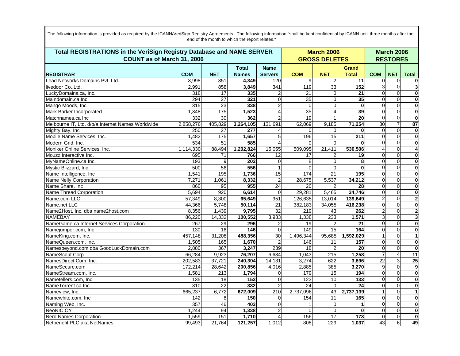| The following information is provided as required by the ICANN/VeriSign Registry Agreements. The following information "shall be kept confidential by ICANN until three months after the |  |
|------------------------------------------------------------------------------------------------------------------------------------------------------------------------------------------|--|
| end of the month to which the report relates."                                                                                                                                           |  |
|                                                                                                                                                                                          |  |

| Total REGISTRATIONS in the VeriSign Registry Database and NAME SERVER<br>COUNT as of March 31, 2006 |            |                 |                              |                               |                 | <b>March 2006</b><br><b>GROSS DELETES</b> |                              |            |            | <b>March 2006</b><br><b>RESTORES</b> |
|-----------------------------------------------------------------------------------------------------|------------|-----------------|------------------------------|-------------------------------|-----------------|-------------------------------------------|------------------------------|------------|------------|--------------------------------------|
| <b>REGISTRAR</b>                                                                                    | <b>COM</b> | <b>NET</b>      | <b>Total</b><br><b>Names</b> | <b>Name</b><br><b>Servers</b> | <b>COM</b>      | <b>NET</b>                                | <b>Grand</b><br><b>Total</b> | <b>COM</b> | <b>NET</b> | <b>Total</b>                         |
| Lead Networks Domains Pvt. Ltd.                                                                     | 3,998      | 351             | 4,349                        | 120                           | 9               | $\overline{2}$                            | 11                           | $\Omega$   | $\Omega$   | 0                                    |
| livedoor CoLtd.                                                                                     | 2,991      | 858             | 3,849                        | 341                           | 119             | 33                                        | 152                          |            |            | $\overline{\mathbf{3}}$              |
| LuckyDomains.ca, Inc.                                                                               | 318        | 17              | 335                          |                               | 21              | $\Omega$                                  | 21                           |            |            | $\mathbf 0$                          |
| Maindomain.ca Inc.                                                                                  | 294        | $\overline{27}$ | 321                          | 0                             | 35              | $\overline{0}$                            | 35                           | $\Omega$   | $\Omega$   | $\bf{0}$                             |
| Mango Moods, Inc.                                                                                   | 315        | $\overline{23}$ | 338                          | $\overline{2}$                | $\Omega$        | $\overline{0}$                            | $\overline{0}$               | $\Omega$   |            | $\bf{0}$                             |
| Mark Barker Incorporated                                                                            | 1,348      | 175             | 1,523                        | 4                             | 35              | $\overline{4}$                            | 39                           | $\Omega$   | $\Omega$   | 0                                    |
| Matchnames.ca Inc                                                                                   | 332        | 30              | 362                          |                               | 19              | $\mathbf{1}$                              | $\overline{20}$              | $\Omega$   | $\Omega$   | $\mathbf 0$                          |
| Melbourne IT, Ltd. d/b/a Internet Names Worldwide                                                   | 2,858,276  | 405,829         | 3,264,105                    | 131,691                       | 62,069          | 9,185                                     | 71,254                       | 80         |            | $\overline{87}$                      |
| Mighty Bay, Inc                                                                                     | 250        | $\overline{27}$ | 277                          |                               | $\Omega$        | $\Omega$                                  |                              | $\Omega$   | $\Omega$   | $\bf{0}$                             |
| Mobile Name Services, Inc.                                                                          | 1,482      | $\frac{1}{175}$ | 1,657                        | 5                             | 196             | $\overline{15}$                           | $\overline{211}$             | $\Omega$   | $\Omega$   | $\bf{0}$                             |
| Modern Grid, Inc.                                                                                   | 534        | 51              | 585                          | 4                             | $\Omega$        | $\Omega$                                  |                              | $\Omega$   |            | $\bf{0}$                             |
| Moniker Online Services, Inc.                                                                       | 1,114,330  | 88,494          | 1,202,824                    | 15,055                        | 509.095         | 21,411                                    | 530,506                      |            | $\Omega$   | 4                                    |
| Mouzz Interactive Inc.                                                                              | 695        | 71              | 766                          | 12                            | 17              | $\overline{2}$                            | 19                           | $\Omega$   | $\Omega$   | $\mathbf 0$                          |
| MyNameOnline.ca Inc.                                                                                | 193        | 9               | 202                          | 0                             | 8               | $\Omega$                                  | 8                            | $\Omega$   |            | $\bf{0}$                             |
| Mystic Blizzard, Inc.                                                                               | 500        | 56              | 556                          |                               | $\Omega$        | $\Omega$                                  | $\bf{0}$                     | $\Omega$   | $\Omega$   | 0                                    |
| Name Intelligence, Inc                                                                              | 1,541      | 195             | 1,736                        | 15                            | 174             | 21                                        | 195                          | $\Omega$   | $\Omega$   | $\bf{0}$                             |
| <b>Name Nelly Corporation</b>                                                                       | 7,271      | 1,061           | 8,332                        | $\overline{c}$                | 28,675          | 5,537                                     | 34,212                       | $\Omega$   |            | $\bf{0}$                             |
| Name Share, Inc                                                                                     | 860        | 95              | 955                          | $\overline{24}$               | $\overline{26}$ |                                           | $\overline{28}$              | $\Omega$   | $\Omega$   | $\bf{0}$                             |
| Name Thread Corporation                                                                             | 5,694      | 920             | 6,614                        | $\Omega$                      | 29,281          | 5,465                                     | 34,746                       | $\Omega$   | $\Omega$   | $\bf{0}$                             |
| Name.com LLC                                                                                        | 57.349     | 8,300           | 65.649                       | 951                           | 126,635         | 13.014                                    | 139,649                      |            |            | $\overline{2}$                       |
| Name.net LLC                                                                                        | 44,366     | 5,748           | 50,114                       | 21                            | 382,183         | 34,055                                    | 416,238                      | $\Omega$   | $\Omega$   | $\bf{0}$                             |
| Name2Host, Inc. dba name2host.com                                                                   | 8,356      | 1,439           | 9,795                        | $\overline{32}$               | 219             | 43                                        | 262                          |            | $\Omega$   | $\overline{2}$                       |
| <b>NAMEBAY</b>                                                                                      | 86,220     | 14,332          | 100,552                      | 3,933                         | 1,338           | 233                                       | 1,571                        |            |            | 3                                    |
| NameGame.ca Internet Services Corporation                                                           | 267        | 29              | 296                          | 2                             | 19              | $\overline{2}$                            | 21                           | $\Omega$   | $\Omega$   | $\bf{0}$                             |
| Namejumper.com, Inc                                                                                 | 130        | 16              | 146                          | 0                             | 149             | 15                                        | 164                          | $\Omega$   | $\Omega$   | $\overline{\mathbf{0}}$              |
| NameKing.com, Inc.                                                                                  | 457,148    | 31,208          | 488,356                      | $\overline{30}$               | 1,496,344       | 95,685                                    | 1,592,029                    |            | $\Omega$   | $\mathbf{1}$                         |
| NameQueen.com, Inc.                                                                                 | 1,505      | 165             | 1,670                        | $\overline{2}$                | 146             | 11                                        | 157                          | $\Omega$   | $\Omega$   | $\bf{0}$                             |
| Namesbeyond.com dba GoodLuckDomain.com                                                              | 2,880      | 367             | 3,247                        | 239                           | 18              |                                           | $\overline{20}$              | $\Omega$   | $\Omega$   | $\mathbf 0$                          |
| NameScout Corp                                                                                      | 66.284     | 9,923           | 76,207                       | 6,634                         | 1,043           | $\overline{215}$                          | 1,258                        |            |            | $\overline{11}$                      |
| NamesDirect.Com, Inc.                                                                               | 202,583    | 37,721          | 240,304                      | 14,131                        | 3,274           | 622                                       | 3,896                        | 22         | 3          | 25                                   |
| NameSecure.com                                                                                      | 172,214    | 28,642          | 200,856                      | 4,016                         | 2,885           | 385                                       | 3,270                        | 9          | $\Omega$   | $\overline{9}$                       |
| NameStream.com, Inc.                                                                                | 1,581      | 213             | 1,794                        | 0                             | 179             | 15                                        | 194                          | $\Omega$   | $\Omega$   | $\bf{0}$                             |
| Nametellers.com, Inc.                                                                               | 135        | 18              | 153                          | 0                             | 123             | 10                                        | 133                          | $\Omega$   | $\Omega$   | $\bf{0}$                             |
| NameTorrent.ca Inc.                                                                                 | 310        | $\overline{22}$ | 332                          | $\overline{2}$                | $\overline{24}$ | $\Omega$                                  | $\overline{24}$              | $\Omega$   | $\Omega$   | $\bf{0}$                             |
| Nameview, Inc.                                                                                      | 665,237    | 6,772           | 672,009                      | 210                           | 2,737,096       | 43                                        | 2,737,139                    |            | $\Omega$   | $\mathbf{1}$                         |
| Namewhite.com. Inc.                                                                                 | 142        | 8               | 150                          | 0                             | 154             | 11                                        | 165                          | $\Omega$   | $\Omega$   | $\mathbf 0$                          |
| Naming Web, Inc.                                                                                    | 357        | 46              | 403                          | 0                             |                 | $\overline{0}$                            | 1                            | $\Omega$   | $\Omega$   | $\bf{0}$                             |
| <b>NeoNIC OY</b>                                                                                    | 1,244      | 94              | 1,338                        | $\overline{2}$                | $\Omega$        | $\Omega$                                  | $\bf{0}$                     | $\Omega$   | $\Omega$   | $\bf{0}$                             |
| <b>Nerd Names Corporation</b>                                                                       | 1,559      | 151             | 1,710                        | 4                             | 156             | 17                                        | 173                          | $\Omega$   | C          | $\bf{0}$                             |
| Netbenefit PLC aka NetNames                                                                         | 99,493     | 21,764          | 121,257                      | 1,012                         | 808             | 229                                       | 1,037                        | 43         | 6          | 49                                   |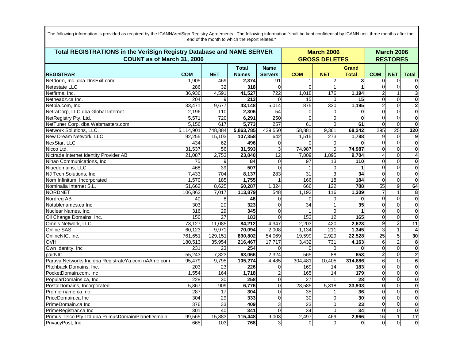| Total REGISTRATIONS in the VeriSign Registry Database and NAME SERVER<br>COUNT as of March 31, 2006 |            |                 |                              |                               | <b>March 2006</b><br><b>GROSS DELETES</b> | <b>March 2006</b><br><b>RESTORES</b> |                              |              |                 |                           |
|-----------------------------------------------------------------------------------------------------|------------|-----------------|------------------------------|-------------------------------|-------------------------------------------|--------------------------------------|------------------------------|--------------|-----------------|---------------------------|
| <b>REGISTRAR</b>                                                                                    | <b>COM</b> | <b>NET</b>      | <b>Total</b><br><b>Names</b> | <b>Name</b><br><b>Servers</b> | <b>COM</b>                                | <b>NET</b>                           | <b>Grand</b><br><b>Total</b> | <b>COM</b>   | <b>NET</b>      | <b>Total</b>              |
| Netdorm, Inc. dba DnsExit.com                                                                       | 1,905      | 469             | 2,374                        | 91                            | 1                                         | $\overline{2}$                       | 3                            | $\Omega$     | $\Omega$        | 0                         |
| Netestate LLC                                                                                       | 286        | $\overline{32}$ | 318                          | $\Omega$                      | $\overline{0}$                            | $\mathbf{1}$                         | 1                            |              | $\mathbf{0}$    | $\overline{\mathbf{0}}$   |
| Netfirms, Inc.                                                                                      | 36,936     | 4,591           | 41,527                       | $\overline{722}$              | 1,018                                     | 176                                  | 1,194                        |              |                 | $\mathbf{3}$              |
| Netheadz.ca Inc.                                                                                    | 204        | 9               | 213                          | $\Omega$                      | 15                                        | $\Omega$                             | 15                           | $\Omega$     | $\Omega$        | $\mathbf 0$               |
| Netpia.com, Inc.                                                                                    | 33,471     | 9,677           | 43,148                       | 5,014                         | 875                                       | 320                                  | 1,195                        |              | $\Omega$        | $\overline{2}$            |
| NetraCorp, LLC dba Global Internet                                                                  | 2,196      | 110             | 2,306                        | 54                            | 0                                         | $\Omega$                             | 0                            |              | $\Omega$        | $\mathbf 0$               |
| NetRegistry Pty. Ltd.                                                                               | 5,571      | 720             | 6,291                        | 250                           | $\overline{0}$                            | $\overline{0}$                       | $\mathbf 0$                  | $\Omega$     | $\overline{0}$  | $\bf{0}$                  |
| NetTuner Corp. dba Webmasters.com                                                                   | 5,156      | 617             | 5,773                        | 257                           | 61                                        | $\mathbf{0}$                         | 61                           |              | $\Omega$        | $\mathbf 0$               |
| Network Solutions, LLC.                                                                             | 5,114,901  | 748,884         | 5,863,785                    | 429,550                       | 58,881                                    | 9,361                                | 68,242                       | 295          | $\overline{25}$ | 320                       |
| New Dream Network, LLC                                                                              | 92,255     | 15,103          | 107,358                      | 642                           | 1,515                                     | 273                                  | 1,788                        | 9            | $\Omega$        | 9                         |
| NexStar, LLC                                                                                        | 434        | 62              | 496                          | $\overline{0}$                | $\Omega$                                  | $\Omega$                             | O                            |              | $\Omega$        | $\mathbf 0$               |
| Nicco Ltd.                                                                                          | 31,537     | $\overline{56}$ | 31,593                       | 3                             | 74,987                                    | $\Omega$                             | 74,987                       | $\Omega$     | $\Omega$        | $\mathbf 0$               |
| Nictrade Internet Identity Provider AB                                                              | 21,087     | 2,753           | 23,840                       | 12                            | 7,809                                     | 1,895                                | 9,704                        |              | $\overline{0}$  | $\overline{4}$            |
| Nihao Communications, Inc.                                                                          | 75         | 9               | 84                           | $\Omega$                      | 97                                        | 13                                   | 110                          |              | $\Omega$        | $\mathbf{0}$              |
| Niuedomains, LLC                                                                                    | 468        | 39              | 507                          | $\Omega$                      | 1                                         | $\Omega$                             |                              |              | $\Omega$        | $\mathbf 0$               |
| NJ Tech Solutions, Inc.                                                                             | 7,433      | 704             | 8,137                        | 283                           | 31                                        | 3                                    | $\overline{34}$              | $\Omega$     | $\Omega$        | $\mathbf 0$               |
| Nom Infinitum, Incorporated                                                                         | 1,570      | 185             | 1,755                        | 1                             | 166                                       | $\overline{18}$                      | 184                          | $\Omega$     | $\Omega$        | $\overline{\mathbf{0}}$   |
| Nominalia Internet S.L.                                                                             | 51,662     | 8,625           | 60,287                       | 1,324                         | 666                                       | 122                                  | 788                          | 55           | 9               | 64                        |
| <b>NORDNET</b>                                                                                      | 106,862    | 7,017           | 113,879                      | 548                           | 1,193                                     | 116                                  | 1,309                        |              |                 | 8                         |
| Nordreg AB                                                                                          | 40         | 8               | 48                           | $\Omega$                      | $\Omega$                                  | $\Omega$                             | $\bf{0}$                     |              | $\Omega$        | $\mathbf 0$               |
| Notablenames.ca Inc                                                                                 | 303        | $\overline{20}$ | 323                          | $\Omega$                      | 34                                        |                                      | 35                           |              | $\Omega$        | $\mathbf 0$               |
| Nuclear Names, Inc.                                                                                 | 316        | $\overline{29}$ | 345                          | $\overline{0}$                | $\mathbf{1}$                              | $\overline{0}$                       | $\mathbf{1}$                 | $\Omega$     | $\Omega$        | $\mathbf 0$               |
| Oil Change Domains, Inc.                                                                            | 156        | 27              | 183                          | $\Omega$                      | 153                                       | $\overline{12}$                      | 165                          |              | $\Omega$        | $\overline{\mathfrak{o}}$ |
| Omnis Network, LLC                                                                                  | 73,127     | 11,085          | 84,212                       | 4,347                         | 2,203                                     | 420                                  | 2,623                        | $\mathbf{Q}$ | $\overline{2}$  | 11                        |
| <b>Online SAS</b>                                                                                   | 60,123     | 9,971           | 70,094                       | 2,008                         | 1,134                                     | 211                                  | 1,345                        | 3            |                 | 4                         |
| OnlineNIC, Inc.                                                                                     | 761,651    | 129,151         | 890,802                      | 54,069                        | 19,599                                    | 2,929                                | 22,528                       | 25           | 5               | 30                        |
| <b>OVH</b>                                                                                          | 180,513    | 35,954          | 216,467                      | 17,717                        | 3,432                                     | 731                                  | 4,163                        | 6            | $\overline{2}$  | 8                         |
| Own Identity, Inc                                                                                   | 231        | $\overline{23}$ | 254                          | $\overline{0}$                | $\overline{0}$                            | 0                                    | 0                            | $\Omega$     | $\overline{0}$  | $\mathbf 0$               |
| pairNIC                                                                                             | 55,243     | 7,823           | 63,066                       | 2,324                         | 565                                       | 88                                   | 653                          |              | $\Omega$        | $\overline{2}$            |
| Parava Networks Inc dba RegistrateYa.com nAAme.com                                                  | 95,479     | 9,795           | 105,274                      | 4,485                         | 304,481                                   | 10,405                               | 314,886                      | 6            | $\Omega$        | 6                         |
| Pltchback Domains, Inc.                                                                             | 203        | 23              | 226                          | $\overline{O}$                | 169                                       | 14                                   | 183                          | $\Omega$     | $\Omega$        | $\mathbf 0$               |
| PocketDomain.com, Inc                                                                               | 1,554      | 164             | 1,718                        | 2                             | 165                                       | 14                                   | 179                          |              | $\Omega$        | $\mathbf 0$               |
| PopularDomains.ca, Inc.                                                                             | 228        | 30              | 258                          | $\overline{0}$                | $\overline{27}$                           |                                      | $\overline{28}$              | $\Omega$     | $\Omega$        | $\mathbf 0$               |
| PostalDomains, Incorporated                                                                         | 5,867      | 909             | 6,776                        | $\overline{0}$                | 28,585                                    | 5,318                                | 33,903                       | $\Omega$     | $\Omega$        | $\mathbf 0$               |
| Premiername.ca Inc                                                                                  | 287        | 17              | 304                          | $\Omega$                      | 35                                        |                                      | 36                           |              | $\Omega$        | $\mathbf{0}$              |
| PriceDomain.ca Inc                                                                                  | 304        | 29              | 333                          | $\overline{0}$                | 30                                        | $\overline{0}$                       | 30                           | $\Omega$     | $\Omega$        | 0                         |
| PrimeDomain.ca Inc.                                                                                 | 376        | 33              | 409                          | $\overline{3}$                | $\overline{23}$                           | $\overline{0}$                       | $\overline{23}$              | $\Omega$     | $\overline{0}$  | $\pmb{0}$                 |
| PrimeRegistrar.ca Inc                                                                               | 301        | 40              | 341                          | $\Omega$                      | 34                                        | $\overline{0}$                       | $\overline{34}$              | $\Omega$     | $\Omega$        | $\overline{\mathbf{0}}$   |
| Primus Telco Pty Ltd dba PrimusDomain/PlanetDomain                                                  | 99,565     | 15,883          | 115,448                      | 9,003                         | 2,497                                     | 469                                  | 2,966                        | 16           |                 | $\overline{17}$           |
| PrivacyPost, Inc.                                                                                   | 665        | 103             | 768                          | 31                            | $\Omega$                                  | $\overline{0}$                       | $\mathbf{0}$                 | $\Omega$     | $\Omega$        | $\bf{0}$                  |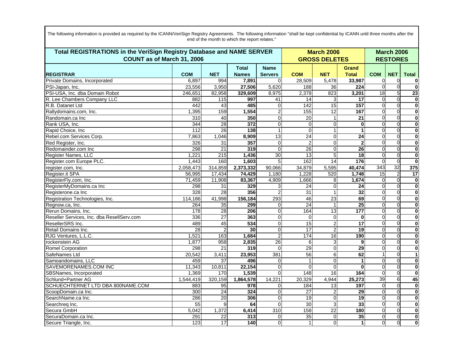|                                            | Total REGISTRATIONS in the VeriSign Registry Database and NAME SERVER<br>COUNT as of March 31, 2006 |                 |                              |                               |                  | <b>March 2006</b><br><b>GROSS DELETES</b> |                       |            |                | <b>March 2006</b><br><b>RESTORES</b> |
|--------------------------------------------|-----------------------------------------------------------------------------------------------------|-----------------|------------------------------|-------------------------------|------------------|-------------------------------------------|-----------------------|------------|----------------|--------------------------------------|
| <b>REGISTRAR</b>                           | <b>COM</b>                                                                                          | <b>NET</b>      | <b>Total</b><br><b>Names</b> | <b>Name</b><br><b>Servers</b> | <b>COM</b>       | <b>NET</b>                                | Grand<br><b>Total</b> | <b>COM</b> | <b>NET</b>     | <b>Total</b>                         |
| Private Domains, Incorporated              | 6.897                                                                                               | 994             | 7,891                        | $\Omega$                      | 28,509           | 5,478                                     | 33,987                | $\Omega$   | $\Omega$       | 0                                    |
| PSI-Japan, Inc.                            | 23,556                                                                                              | 3,950           | 27,506                       | 5,620                         | 188              | 36                                        | 224                   | $\Omega$   | $\Omega$       | $\overline{\mathbf{0}}$              |
| PSI-USA, Inc. dba Domain Robot             | 246,651                                                                                             | 82,958          | 329,609                      | 8,975                         | 2,378            | 823                                       | 3,201                 | 18         | 5              | 23                                   |
| R. Lee Chambers Company LLC                | 882                                                                                                 | 115             | 997                          | 41                            | 14               | 3                                         | 17                    | $\Omega$   | $\Omega$       | $\mathbf 0$                          |
| R.B. Datanet Ltd                           | 442                                                                                                 | 43              | 485                          | 0                             | $\overline{142}$ | 15                                        | 157                   |            | $\Omega$       | $\overline{\mathbf{0}}$              |
| Rallydomains.com, Inc.                     | 1,395                                                                                               | 159             | 1,554                        | $\overline{c}$                | 155              | $\overline{12}$                           | 167                   | $\Omega$   | $\Omega$       | $\bf{0}$                             |
| Randomain.ca Inc                           | 310                                                                                                 | 40              | 350                          | $\overline{0}$                | 20               | 1                                         | $\overline{21}$       | $\Omega$   | $\Omega$       | $\mathbf 0$                          |
| Rank USA, Inc.                             | 344                                                                                                 | $\overline{28}$ | 372                          | 0                             | $\Omega$         | $\mathbf 0$                               | $\mathbf 0$           | $\Omega$   | $\Omega$       | $\mathbf 0$                          |
| Rapid Choice, Inc.                         | 112                                                                                                 | 26              | 138                          |                               | $\Omega$         | $\mathbf{1}$                              | 1                     |            | $\Omega$       | $\mathbf 0$                          |
| Rebel.com Services Corp.                   | 7,863                                                                                               | 1,046           | 8,909                        | $\overline{13}$               | $\overline{24}$  | $\overline{0}$                            | $\overline{24}$       | $\Omega$   | $\Omega$       | $\bf{0}$                             |
| Red Register, Inc.                         | 326                                                                                                 | $\overline{31}$ | 357                          | $\Omega$                      | $\overline{2}$   | $\overline{0}$                            | $\overline{2}$        |            | $\Omega$       | $\overline{\mathbf{0}}$              |
| Redomainder.com Inc                        | 298                                                                                                 | $\overline{21}$ | 319                          | 0                             | $\overline{26}$  | $\Omega$                                  | 26                    | $\Omega$   | $\Omega$       | $\mathbf 0$                          |
| Register Names, LLC                        | 1,221                                                                                               | 215             | 1,436                        | 30                            | 13               | 5                                         | 18                    | $\Omega$   | $\overline{0}$ | $\mathbf 0$                          |
| Register.com Europe PLC.                   | 1,443                                                                                               | 160             | 1,603                        | 5                             | 162              | 14                                        | 176                   |            | $\Omega$       | $\bf{0}$                             |
| register.com, Inc.                         | 2,058,473                                                                                           | 314,859         | 2,373,332                    | 90,066                        | 34,879           | 5,595                                     | 40,474                | 343        | 32             | 375                                  |
| Register.it SPA                            | 56,995                                                                                              | 17,434          | 74,429                       | 1,180                         | 1,228            | 520                                       | 1,748                 | 15         | $\overline{c}$ | $\overline{17}$                      |
| RegisterFly.com, Inc.                      | 71,459                                                                                              | 11,908          | 83,367                       | 4,909                         | 1,666            | 8                                         | 1.674                 | $\Omega$   | $\Omega$       | $\mathbf 0$                          |
| RegisterMyDomains.ca Inc                   | 298                                                                                                 | 31              | 329                          | 3                             | 24               | $\Omega$                                  | 24                    |            | $\Omega$       | $\mathbf 0$                          |
| Registerone.ca Inc                         | 328                                                                                                 | $\overline{28}$ | 356                          | 2                             | 31               | $\mathbf{1}$                              | 32                    | $\Omega$   | $\Omega$       | $\mathbf 0$                          |
| Registration Technologies, Inc.            | 114,186                                                                                             | 41,998          | 156,184                      | 293                           | 46               | $\overline{23}$                           | 69                    |            | $\Omega$       | $\bf{0}$                             |
| Regnow.ca, Inc.                            | 264                                                                                                 | 35              | 299                          | 0                             | $\overline{24}$  | $\mathbf{1}$                              | $\overline{25}$       | $\Omega$   | $\Omega$       | $\mathbf 0$                          |
| Rerun Domains, Inc.                        | 178                                                                                                 | 28              | 206                          | $\mathbf 0$                   | 164              | 13                                        | 177                   | $\Omega$   | $\Omega$       | $\bf{0}$                             |
| Reseller Services, Inc. dba ResellServ.com | 336                                                                                                 | $\overline{27}$ | 363                          | 0                             | $\Omega$         | $\mathbf 0$                               | $\bf{0}$              |            | $\Omega$       | $\overline{\mathbf{0}}$              |
| ResellerSRS Inc.                           | 489                                                                                                 | 45              | 534                          | 0                             | 15               | $\overline{2}$                            | $\overline{17}$       |            | $\Omega$       | $\mathbf 0$                          |
| Retail Domains Inc.                        | $\overline{28}$                                                                                     | $\overline{2}$  | 30 <sub>l</sub>              | $\overline{O}$                | $\overline{17}$  | $\overline{c}$                            | 19                    | $\Omega$   | $\Omega$       | $\mathbf 0$                          |
| RJG Ventures, L.L.C.                       | 1,521                                                                                               | 163             | 1,684                        | $\overline{c}$                | 174              | 16                                        | 190                   | $\Omega$   | $\Omega$       | $\overline{\mathbf{0}}$              |
| rockenstein AG                             | 1,877                                                                                               | 958             | 2,835                        | 26                            | 6                | 3                                         | 9                     | $\Omega$   | $\Omega$       | $\mathbf 0$                          |
| <b>Romel Corporation</b>                   | 298                                                                                                 | 21              | 319                          | $\Omega$                      | 29               | $\overline{0}$                            | 29                    | $\Omega$   | $\Omega$       | $\bf{0}$                             |
| SafeNames Ltd                              | 20,542                                                                                              | 3,411           | 23,953                       | 381                           | 56               | $\overline{6}$                            | 62                    |            | $\Omega$       | $\overline{1}$                       |
| Samoandomains, LLC                         | 459                                                                                                 | 37              | 496                          | 0                             | 1                | $\overline{0}$                            | 1                     | $\Omega$   | $\Omega$       | $\mathbf 0$                          |
| SAVEMORENAMES.COM INC                      | 11,343                                                                                              | 10,811          | 22,154                       | 0                             | $\overline{O}$   | $\overline{0}$                            | $\mathbf 0$           | 0          | $\Omega$       | $\mathbf 0$                          |
| SBSNames, Incorporated                     | 1,369                                                                                               | 170             | 1,539                        | 0                             | 148              | 16                                        | 164                   | $\Omega$   | $\Omega$       | $\overline{\mathbf{0}}$              |
| Schlund+Partner AG                         | 1,544,419                                                                                           | 320,159         | 1,864,578                    | 14,221                        | 20,329           | 4,944                                     | 25,273                | 39         | 6              | 45                                   |
| SCHUECHTERNET LTD DBA 800NAME.COM          | 883                                                                                                 | 95              | 978                          | 0                             | 184              | 13                                        | 197                   | $\Omega$   | $\Omega$       | $\mathbf 0$                          |
| ScoopDomain.ca Inc.                        | 300                                                                                                 | 24              | 324                          | 0                             | 27               | $\overline{c}$                            | 29                    | $\Omega$   | $\Omega$       | $\mathbf{0}$                         |
| SearchName.ca Inc.                         | 286                                                                                                 | 20              | 306                          | 0                             | 19               | $\overline{0}$                            | 19                    | $\Omega$   | $\Omega$       | $\mathbf 0$                          |
| Searchreq Inc.                             | 55                                                                                                  | 9               | 64                           | $\mathbf{0}$                  | 30               | 3                                         | 33                    | $\Omega$   | $\overline{0}$ | $\mathbf 0$                          |
| Secura GmbH                                | 5,042                                                                                               | 1,372           | 6,414                        | 310                           | 158              | $\overline{22}$                           | 180                   | 0          | $\Omega$       | $\overline{\mathbf{0}}$              |
| SecuraDomain.ca Inc.                       | 291                                                                                                 | 22              | 313                          | 0                             | $\overline{35}$  | $\Omega$                                  | 35                    | $\Omega$   | $\Omega$       | $\mathbf 0$                          |
| Secure Triangle, Inc.                      | 123                                                                                                 | 17              | 140                          | $\Omega$                      | $1\vert$         | $\overline{0}$                            | $\mathbf{1}$          | $\Omega$   | $\Omega$       | $\bf{0}$                             |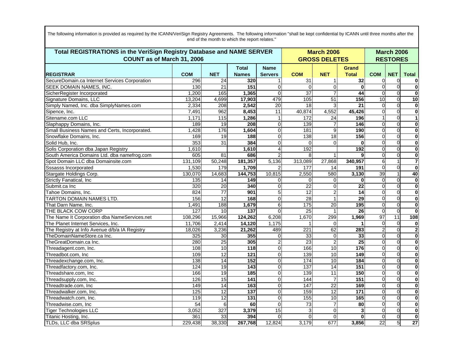| Total REGISTRATIONS in the VeriSign Registry Database and NAME SERVER<br>COUNT as of March 31, 2006 |            |                 |                              |                               |                  | <b>March 2006</b><br><b>GROSS DELETES</b> |                              |                         |                 | <b>March 2006</b><br><b>RESTORES</b> |
|-----------------------------------------------------------------------------------------------------|------------|-----------------|------------------------------|-------------------------------|------------------|-------------------------------------------|------------------------------|-------------------------|-----------------|--------------------------------------|
| <b>REGISTRAR</b>                                                                                    | <b>COM</b> | <b>NET</b>      | <b>Total</b><br><b>Names</b> | <b>Name</b><br><b>Servers</b> | <b>COM</b>       | <b>NET</b>                                | <b>Grand</b><br><b>Total</b> | <b>COM</b>              | <b>NET</b>      | <b>Total</b>                         |
| SecureDomain.ca Internet Services Corporation                                                       | 296        | 24              | 320                          |                               | 31               | 1                                         | 32                           | $\Omega$                | $\Omega$        | $\bf{0}$                             |
| <b>SEEK DOMAIN NAMES, INC.</b>                                                                      | 130        | $\overline{21}$ | 151                          | $\Omega$                      | $\Omega$         | $\overline{0}$                            | $\mathbf 0$                  | $\Omega$                | $\Omega$        | $\mathbf 0$                          |
| SicherRegister Incorporated                                                                         | 1.200      | 165             | 1,365                        | $\Omega$                      | $\overline{37}$  |                                           | 44                           | $\Omega$                | $\mathbf 0$     | $\mathbf 0$                          |
| Signature Domains, LLC                                                                              | 13,204     | 4,699           | 17,903                       | 479                           | 105              | $\overline{51}$                           | 156                          | $\overline{10}$         | $\Omega$        | 10                                   |
| Simply Named, Inc. dba SimplyNames.com                                                              | 2,334      | 208             | 2,542                        | 20                            | 18               |                                           | $\overline{21}$              | $\Omega$                | $\Omega$        | $\overline{\bullet}$                 |
| Sipence, Inc.                                                                                       | 7,491      | 962             | 8,453                        | 11                            | 40,874           | 4,552                                     | 45,426                       | $\Omega$                | $\Omega$        | $\mathbf 0$                          |
| Sitename.com LLC                                                                                    | 1,171      | 115             | 1,286                        | $\mathbf{1}$                  | 172              | 24                                        | 196                          |                         | $\overline{0}$  | $\mathbf{1}$                         |
| Slaphappy Domains, Inc.                                                                             | 189        | 19              | 208                          | $\Omega$                      | 139              | $\overline{7}$                            | 146                          | $\Omega$                | $\Omega$        | $\mathbf{0}$                         |
| Small Business Names and Certs, Incorporated.                                                       | 1,428      | 176             | 1,604                        | $\Omega$                      | 181              | 9                                         | 190                          | $\Omega$                | $\mathbf 0$     | $\mathbf 0$                          |
| Snowflake Domains, Inc.                                                                             | 169        | 19              | 188                          | $\overline{0}$                | 138              | $\overline{18}$                           | 156                          | $\Omega$                | $\Omega$        | $\mathbf 0$                          |
| Solid Hub, Inc.                                                                                     | 353        | $\overline{31}$ | 384                          | $\overline{0}$                | $\Omega$         | 0                                         | $\bf{0}$                     | $\Omega$                | $\Omega$        | $\overline{\bullet}$                 |
| Solis Corporation dba Japan Registry                                                                | 1,610      |                 | 1,610                        | 4                             | 192              |                                           | 192                          | $\Omega$                | $\mathbf 0$     | $\mathbf 0$                          |
| South America Domains Ltd. dba namefrog.com                                                         | 605        | 81              | 686                          | $\overline{2}$                | 8                |                                           | 9                            | $\Omega$                | $\overline{0}$  | $\mathbf 0$                          |
| Spot Domain LLC dba Domainsite.com                                                                  | 131,109    | 50,248          | 181,357                      | 5,136                         | 313,089          | 27,868                                    | 340,957                      | 6                       |                 | 7                                    |
| <b>Sssasss Incorporated</b>                                                                         | 1,530      | 179             | 1,709                        |                               | 177              | 14                                        | 191                          | $\Omega$                | $\mathbf 0$     | $\mathbf 0$                          |
| Stargate Holdings Corp.                                                                             | 130,070    | 14,683          | 144,753                      | 10,815                        | 2,550            | 580                                       | 3,130                        | 39                      |                 | 40                                   |
| <b>Strictly Fanatical, Inc.</b>                                                                     | 135        | 14              | 149                          | $\Omega$                      | $\Omega$         | 0                                         | $\bf{0}$                     | $\Omega$                | $\Omega$        | $\overline{\mathbf{0}}$              |
| Submit.ca Inc                                                                                       | 320        | $\overline{20}$ | 340                          | $\mathbf 0$                   | $\overline{22}$  | $\overline{0}$                            | $\overline{22}$              | $\Omega$                | $\mathbf 0$     | $\mathbf 0$                          |
| Tahoe Domains, Inc.                                                                                 | 824        | $\overline{77}$ | 901                          | 5                             | 12               | $\overline{2}$                            | $\overline{14}$              | $\Omega$                | $\Omega$        | $\mathbf 0$                          |
| <b>TARTON DOMAIN NAMES LTD.</b>                                                                     | 156        | $\overline{12}$ | 168                          | $\Omega$                      | 28               | 1                                         | 29                           | $\Omega$                | $\Omega$        | $\mathbf{0}$                         |
| That Darn Name, Inc.                                                                                | 1,491      | 188             | 1,679                        | 6                             | 175              | $\overline{20}$                           | 195                          | $\Omega$                | $\mathbf 0$     | $\mathbf 0$                          |
| THE BLACK COW CORP                                                                                  | 127        | 10              | 137                          | $\overline{0}$                | $\overline{25}$  | $\mathbf{1}$                              | 26                           | $\Omega$                | $\overline{0}$  | $\mathbf{0}$                         |
| The Name It Corporation dba NameServices.net                                                        | 108,296    | 15,966          | 124,262                      | 6,208                         | 1,670            | 299                                       | 1,969                        | 97                      | $\overline{11}$ | 108                                  |
| The Planet Internet Services, Inc.                                                                  | 11,706     | 2,414           | 14,120                       | 1,175                         | 1                | 0                                         |                              | $\Omega$                | $\overline{0}$  | $\bf{0}$                             |
| The Registry at Info Avenue d/b/a IA Registry                                                       | 18,026     | 3,236           | 21,262                       | 489                           | 221              | 62                                        | 283                          | $\overline{\mathbf{c}}$ | $\Omega$        | $\overline{\mathbf{2}}$              |
| TheDomainNameStore.ca Inc.                                                                          | 325        | 30              | 355                          | $\Omega$                      | 33               | $\overline{0}$                            | 33                           | $\Omega$                | $\Omega$        | $\mathbf{0}$                         |
| TheGreatDomain.ca Inc.                                                                              | 280        | 25              | 305                          | $\overline{2}$                | 23               | $\overline{2}$                            | $\overline{25}$              | $\Omega$                | $\Omega$        | $\mathbf 0$                          |
| Threadagent.com, Inc.                                                                               | 108        | 10              | 118                          | $\overline{0}$                | 166              | 10                                        | 176                          | $\Omega$                | $\Omega$        | $\mathbf{0}$                         |
| Threadbot.com, Inc                                                                                  | 109        | $\overline{12}$ | 121                          | $\overline{0}$                | 139              | 10                                        | 149                          | $\Omega$                | $\Omega$        | $\mathbf 0$                          |
| Threadexchange.com, Inc.                                                                            | 138        | 14              | 152                          | $\Omega$                      | 174              | 10                                        | 184                          | $\Omega$                | $\mathbf 0$     | $\mathbf 0$                          |
| Threadfactory.com, Inc.                                                                             | 124        | 19              | $143$                        | $\overline{0}$                | 137              | 14                                        | 151                          | $\overline{0}$          | $\mathbf 0$     | $\mathbf 0$                          |
| Threadshare.com, Inc                                                                                | 166        | 19              | 185                          | $\overline{0}$                | 139              | $\overline{11}$                           | 150                          | $\Omega$                | $\Omega$        | $\mathbf 0$                          |
| Threadsupply.com, Inc.                                                                              | 126        | 15              | 141                          | $\Omega$                      | 144              | $\overline{7}$                            | 151                          | $\Omega$                | $\Omega$        | $\mathbf 0$                          |
| Threadtrade.com, Inc                                                                                | 149        | $\overline{14}$ | 163                          | $\overline{0}$                | $\overline{147}$ | $\overline{22}$                           | 169                          | $\Omega$                | $\Omega$        | $\mathbf{0}$                         |
| Threadwalker.com, Inc.                                                                              | 125        | 12              | 137                          | $\overline{0}$                | 159              | 12                                        | 171                          | $\Omega$                | $\Omega$        | $\mathbf 0$                          |
| Threadwatch.com, Inc.                                                                               | 119        | 12              | 131                          | $\Omega$                      | 155              | 10                                        | 165                          | $\Omega$                | $\mathbf 0$     | $\mathbf 0$                          |
| Threadwise.com, Inc                                                                                 | 54         | 6               | 60                           | $\overline{0}$                | 73               |                                           | $\overline{80}$              | $\overline{0}$          | $\mathbf 0$     | $\bullet$                            |
| <b>Tiger Technologies LLC</b>                                                                       | 3,052      | 327             | 3,379                        | 15                            | 3                | $\overline{0}$                            | 3                            | $\Omega$                | $\Omega$        | $\mathbf 0$                          |
| Titanic Hosting, Inc.                                                                               | 361        | 33              | 394                          | $\Omega$                      | $\Omega$         | $\overline{0}$                            | $\bf{0}$                     | $\Omega$                | $\Omega$        | $\mathbf 0$                          |
| TLDs, LLC dba SRSplus                                                                               | 229,438    | 38,330          | 267,768                      | 12,824                        | 3,179            | 677                                       | 3,856                        | $\overline{22}$         | 5               | $\overline{27}$                      |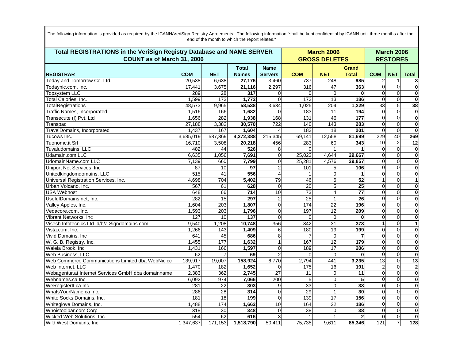|                                                     | Total REGISTRATIONS in the VeriSign Registry Database and NAME SERVER<br>COUNT as of March 31, 2006 |                 |                              |                               |                  |                         | <b>March 2006</b><br><b>GROSS DELETES</b> |                 |                |                         |
|-----------------------------------------------------|-----------------------------------------------------------------------------------------------------|-----------------|------------------------------|-------------------------------|------------------|-------------------------|-------------------------------------------|-----------------|----------------|-------------------------|
| <b>REGISTRAR</b>                                    | <b>COM</b>                                                                                          | <b>NET</b>      | <b>Total</b><br><b>Names</b> | <b>Name</b><br><b>Servers</b> | <b>COM</b>       | <b>NET</b>              | <b>Grand</b><br><b>Total</b>              | <b>COM</b>      | <b>NET</b>     | <b>Total</b>            |
| Today and Tomorrow Co. Ltd.                         | 20,538                                                                                              | 6,638           | 27,176                       | 3,460                         | 737              | 248                     | 985                                       |                 |                | 3                       |
| Todaynic.com, Inc.                                  | 17,441                                                                                              | 3,675           | 21,116                       | 2,297                         | 316              | 47                      | 363                                       |                 | $\Omega$       | $\overline{\mathbf{0}}$ |
| <b>Topsystem LLC</b>                                | 289                                                                                                 | $\overline{28}$ | $\overline{317}$             | 0                             | $\Omega$         | $\Omega$                | $\bf{0}$                                  | $\Omega$        | $\Omega$       | $\mathbf 0$             |
| Total Calories, Inc.                                | 1,599                                                                                               | 173             | 1,772                        | $\Omega$                      | 173              | $\overline{13}$         | 186                                       | $\Omega$        | $\Omega$       | $\bf{0}$                |
| TotalRegistrations                                  | 48,573                                                                                              | 9,965           | 58,538                       | 3,634                         | 1,025            | 204                     | 1,229                                     | 33              | 5              | 38                      |
| Traffic Names, Incorporated-                        | 1,516                                                                                               | 166             | 1,682                        | 0                             | 183              | 11                      | 194                                       | $\Omega$        | $\Omega$       | $\mathbf 0$             |
| Transecute (I) Pvt. Ltd                             | 1,656                                                                                               | 282             | 1,938                        | 168                           | 131              | 46                      | 177                                       | $\Omega$        | $\overline{0}$ | $\mathbf 0$             |
| Transpac                                            | 27,188                                                                                              | 3,382           | 30,570                       | 722                           | 140              | 143                     | 283                                       | $\Omega$        | $\Omega$       | $\overline{\mathbf{0}}$ |
| TravelDomains, Incorporated                         | 1,437                                                                                               | 167             | 1,604                        | 4                             | 183              | 18                      | 201                                       | $\Omega$        | $\Omega$       | $\bf{0}$                |
| Tucows Inc.                                         | 3,685,019                                                                                           | 587,369         | 4,272,388                    | 215,345                       | 69,141           | 12,558                  | 81,699                                    | 229             | 40             | 269                     |
| Tuonome.it Srl                                      | 16,710                                                                                              | 3,508           | 20,218                       | 456                           | 283              | 60                      | 343                                       | 10              | $\overline{2}$ | $\overline{12}$         |
| Tuvaludomains, LLC                                  | 482                                                                                                 | 44              | 526                          | 8                             | $\Omega$         |                         |                                           | $\Omega$        | $\Omega$       | $\mathbf 0$             |
| Udamain.com LLC                                     | 6,635                                                                                               | 1,056           | 7,691                        | $\pmb{0}$                     | 25,023           | 4,644                   | 29,667                                    | 0               | $\Omega$       | $\mathbf 0$             |
| UdomainName.com LLC                                 | 7,139                                                                                               | 660             | 7,799                        | 0                             | 25,281           | 4,576                   | 29,857                                    | $\Omega$        | $\Omega$       | $\overline{\mathbf{0}}$ |
| Uniport Net Services, Inc.                          | $\overline{87}$                                                                                     | $\overline{10}$ | $\overline{97}$              | 2                             | 101              | 5 <sup>1</sup>          | 106                                       | $\Omega$        | $\Omega$       | $\mathbf 0$             |
| Unitedkingdomdomains, LLC                           | 515                                                                                                 | 41              | 556                          | 4                             |                  | $\overline{0}$          | 1                                         | $\Omega$        | $\Omega$       | $\mathbf 0$             |
| Universal Registration Services, Inc.               | 4,698                                                                                               | 704             | 5,402                        | 79                            | 46               | 6                       | 52                                        |                 | $\Omega$       | $\mathbf{1}$            |
| Urban Volcano, Inc.                                 | 567                                                                                                 | 61              | 628                          | $\Omega$                      | 20               | 5                       | $\overline{25}$                           | U               | $\Omega$       | $\mathbf 0$             |
| <b>USA Webhost</b>                                  | 648                                                                                                 | 66              | $\overline{714}$             | $\overline{10}$               | 73               | 4                       | $\overline{77}$                           | $\Omega$        | $\Omega$       | $\mathbf 0$             |
| UsefulDomains.net, Inc.                             | 282                                                                                                 | 15              | 297                          | $\overline{c}$                | 25               | $\mathbf{1}$            | $\overline{26}$                           | $\Omega$        | $\Omega$       | $\bf{0}$                |
| Valley Apples, Inc.                                 | 1,604                                                                                               | 203             | 1,807                        | 0                             | 174              | $\overline{22}$         | 196                                       | $\Omega$        | $\Omega$       | $\mathbf 0$             |
| Vedacore.com, Inc.                                  | 1,593                                                                                               | 203             | 1,796                        | 0                             | 197              | 12                      | 209                                       | 0               | $\mathbf 0$    | $\mathbf 0$             |
| Vibrant Networks, Inc                               | 127                                                                                                 | 10              | 137                          | $\Omega$                      | $\Omega$         | $\Omega$                | 0                                         | ∩               | $\Omega$       | $\overline{\mathbf{0}}$ |
| Visesh Infotecnics Ltd. d/b/a Signdomains.com       | 9,540                                                                                               | 1,208           | 10,748                       | 356                           | $\overline{342}$ | 31                      | $\overline{373}$                          |                 | $\Omega$       | $\mathbf{1}$            |
| Vista.com, Inc.                                     | 1,266                                                                                               | 143             | 1,409                        | 6                             | 180              | 19                      | 199                                       |                 | $\Omega$       | $\mathbf 0$             |
| Vivid Domains, Inc                                  | 641                                                                                                 | 45              | 686                          | $\overline{8}$                |                  | $\Omega$                | $\overline{7}$                            | $\Omega$        | $\Omega$       | $\bf{0}$                |
| W. G. B. Registry, Inc.                             | 1,455                                                                                               | 177             | 1,632                        |                               | 167              | $\overline{12}$         | 179                                       | $\Omega$        | $\Omega$       | $\mathbf 0$             |
| Walela Brook, Inc                                   | 1,431                                                                                               | 166             | 1,597                        | 0                             | 189              | $\overline{17}$         | 206                                       | 0               | $\overline{0}$ | $\mathbf 0$             |
| Web Business, LLC.                                  | 62                                                                                                  |                 | 69                           | 2                             | $\Omega$         | $\Omega$                | $\bf{0}$                                  | $\Omega$        | $\Omega$       | $\overline{\mathbf{0}}$ |
| Web Commerce Communications Limited dba WebNic.cc   | 139,917                                                                                             | 19,007          | 158,924                      | 6,770                         | 2,794            | 441                     | 3,235                                     | $\overline{13}$ | $\Omega$       | 13                      |
| Web Internet, LLC                                   | 1,470                                                                                               | 182             | 1,652                        | 0                             | 175              | 16                      | 191                                       |                 | $\Omega$       | $\mathbf{2}$            |
| Webagentur.at Internet Services GmbH dba domainname | 2,383                                                                                               | 362             | 2,745                        | $\overline{27}$               | 11               | $\overline{O}$          | 11                                        |                 | $\Omega$       | $\mathbf 0$             |
| Webnames.ca Inc.                                    | 6,092                                                                                               | 974             | 7,066                        | 200                           | 5                | $\overline{\mathsf{o}}$ | 5                                         | $\Omega$        | $\Omega$       | $\overline{\mathbf{0}}$ |
| WeRegisterIt.ca Inc.                                | 281                                                                                                 | $\overline{22}$ | 303                          | 9                             | $\overline{33}$  | $\overline{0}$          | $\overline{33}$                           | $\Omega$        | $\Omega$       | $\bf{0}$                |
| WhatsYourName.ca Inc.                               | 286                                                                                                 | 28              | 314                          | 0                             | 29               | 1                       | 30                                        | $\Omega$        | $\Omega$       | $\bf{0}$                |
| White Socks Domains, Inc.                           | 181                                                                                                 | $\overline{18}$ | 199                          | 0                             | 139              | $\overline{17}$         | 156                                       | $\Omega$        | $\Omega$       | $\mathbf 0$             |
| Whiteglove Domains, Inc.                            | 1,488                                                                                               | 174             | 1,662                        | 10                            | 164              | 22                      | 186                                       | $\Omega$        | $\overline{0}$ | $\mathbf 0$             |
| Whoistoolbar.com Corp                               | 318                                                                                                 | 30              | 348                          | $\Omega$                      | 38               | 0                       | 38                                        |                 | $\Omega$       | $\overline{\mathbf{0}}$ |
| Wicked Web Solutions, Inc.                          | 554                                                                                                 | 62              | 616                          | 3                             |                  |                         | $\mathbf{2}$                              | $\Omega$        | $\Omega$       | $\mathbf{0}$            |
| Wild West Domains, Inc.                             | 1,347,637                                                                                           | 171,153         | 1,518,790                    | 50,411                        | 75,735           | 9,611                   | 85,346                                    | 121             | $\overline{7}$ | 128                     |